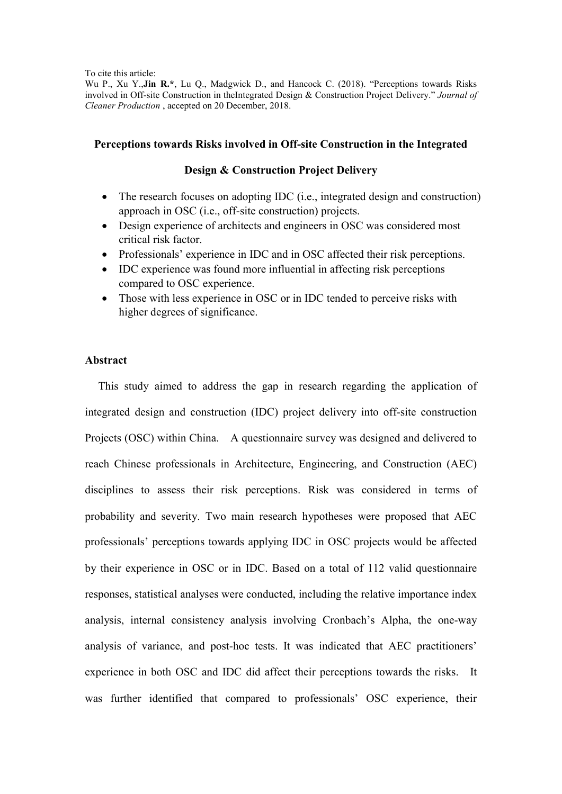To cite this article:

Wu P., Xu Y.,Jin R<sup>\*</sup>, Lu Q., Madgwick D., and Hancock C. (2018). "Perceptions towards Risks involved in Off-site Construction in theIntegrated Design & Construction Project Delivery." *Journal of Cleaner Production* , accepted on 20 December, 2018.

## **Perceptions towards Risks involved in Off-site Construction in the Integrated**

## **Design & Construction Project Delivery**

- The research focuses on adopting IDC (i.e., integrated design and construction) approach in OSC (i.e., off-site construction) projects.
- Design experience of architects and engineers in OSC was considered most critical risk factor.
- Professionals' experience in IDC and in OSC affected their risk perceptions.
- IDC experience was found more influential in affecting risk perceptions compared to OSC experience.
- Those with less experience in OSC or in IDC tended to perceive risks with higher degrees of significance.

## **Abstract**

This study aimed to address the gap in research regarding the application of integrated design and construction (IDC) project delivery into off-site construction Projects (OSC) within China. A questionnaire survey was designed and delivered to reach Chinese professionals in Architecture, Engineering, and Construction (AEC) disciplines to assess their risk perceptions. Risk was considered in terms of probability and severity. Two main research hypotheses were proposed that AEC professionals' perceptions towards applying IDC in OSC projects would be affected by their experience in OSC or in IDC. Based on a total of 112 valid questionnaire responses, statistical analyses were conducted, including the relative importance index analysis, internal consistency analysis involving Cronbach's Alpha, the one-way analysis of variance, and post-hoc tests. It was indicated that AEC practitioners' experience in both OSC and IDC did affect their perceptions towards the risks. It was further identified that compared to professionals' OSC experience, their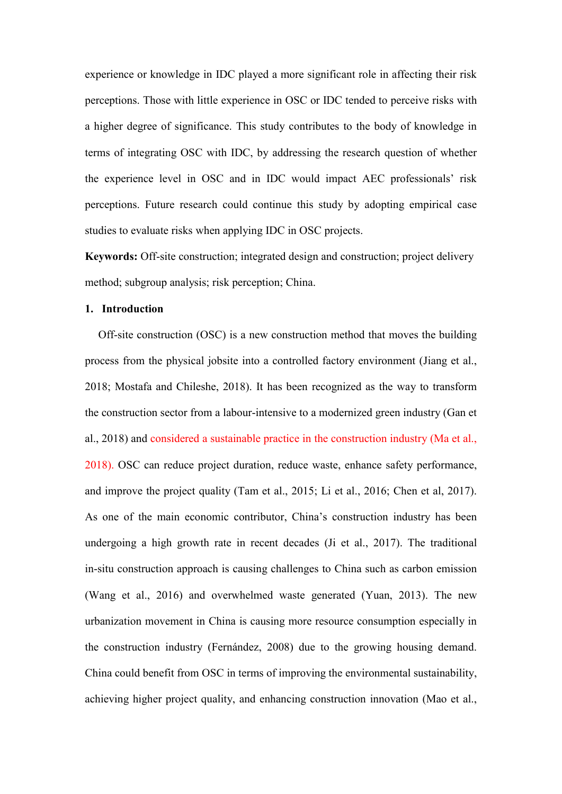experience or knowledge in IDC played a more significant role in affecting their risk perceptions. Those with little experience in OSC or IDC tended to perceive risks with a higher degree of significance. This study contributes to the body of knowledge in terms of integrating OSC with IDC, by addressing the research question of whether the experience level in OSC and in IDC would impact AEC professionals' risk perceptions. Future research could continue this study by adopting empirical case studies to evaluate risks when applying IDC in OSC projects.

**Keywords:** Off-site construction; integrated design and construction; project delivery method; subgroup analysis; risk perception; China.

## **1. Introduction**

Off-site construction (OSC) is a new construction method that moves the building process from the physical jobsite into a controlled factory environment (Jiang et al., 2018; Mostafa and Chileshe, 2018). It has been recognized as the way to transform the construction sector from a labour-intensive to a modernized green industry (Gan et al., 2018) and considered a sustainable practice in the construction industry (Ma et al., 2018). OSC can reduce project duration, reduce waste, enhance safety performance, and improve the project quality (Tam et al., 2015; Li et al., 2016; Chen et al, 2017). As one of the main economic contributor, China's construction industry has been undergoing a high growth rate in recent decades (Ji et al., 2017). The traditional in-situ construction approach is causing challenges to China such as carbon emission (Wang et al., 2016) and overwhelmed waste generated (Yuan, 2013). The new urbanization movement in China is causing more resource consumption especially in the construction industry (Fernández, 2008) due to the growing housing demand. China could benefit from OSC in terms of improving the environmental sustainability, achieving higher project quality, and enhancing construction innovation (Mao et al.,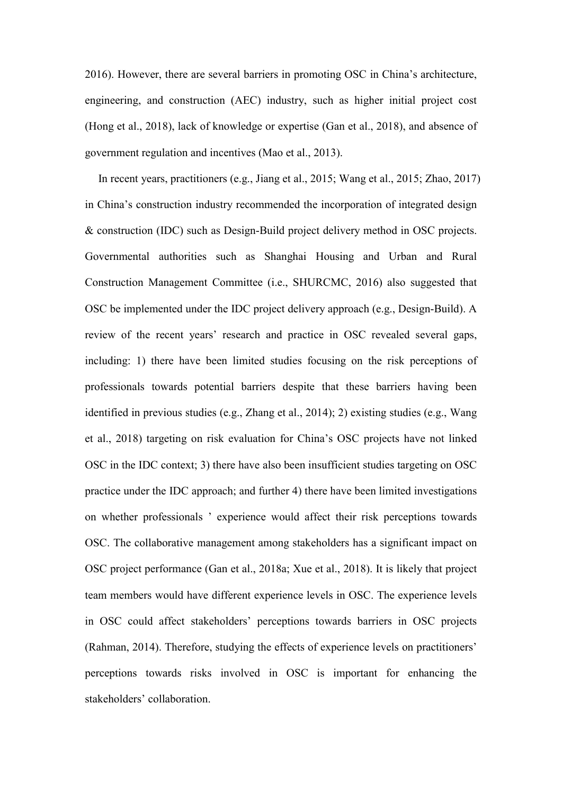2016). However, there are several barriers in promoting OSC in China's architecture, engineering, and construction (AEC) industry, such as higher initial project cost (Hong et al., 2018), lack of knowledge or expertise (Gan et al., 2018), and absence of government regulation and incentives (Mao et al., 2013).

In recent years, practitioners (e.g., Jiang et al., 2015; Wang et al., 2015; Zhao, 2017) in China's construction industry recommended the incorporation of integrated design & construction (IDC) such as Design-Build project delivery method in OSC projects. Governmental authorities such as Shanghai Housing and Urban and Rural Construction Management Committee (i.e., SHURCMC, 2016) also suggested that OSC be implemented under the IDC project delivery approach (e.g., Design-Build). A review of the recent years' research and practice in OSC revealed several gaps, including: 1) there have been limited studies focusing on the risk perceptions of professionals towards potential barriers despite that these barriers having been identified in previous studies (e.g., Zhang et al., 2014); 2) existing studies (e.g., Wang et al., 2018) targeting on risk evaluation for China's OSC projects have not linked OSC in the IDC context; 3) there have also been insufficient studies targeting on OSC practice under the IDC approach; and further 4) there have been limited investigations on whether professionals ' experience would affect their risk perceptions towards OSC. The collaborative management among stakeholders has a significant impact on OSC project performance (Gan et al., 2018a; Xue et al., 2018). It is likely that project team members would have different experience levels in OSC. The experience levels in OSC could affect stakeholders' perceptions towards barriers in OSC projects (Rahman, 2014). Therefore, studying the effects of experience levels on practitioners' perceptions towards risks involved in OSC is important for enhancing the stakeholders' collaboration.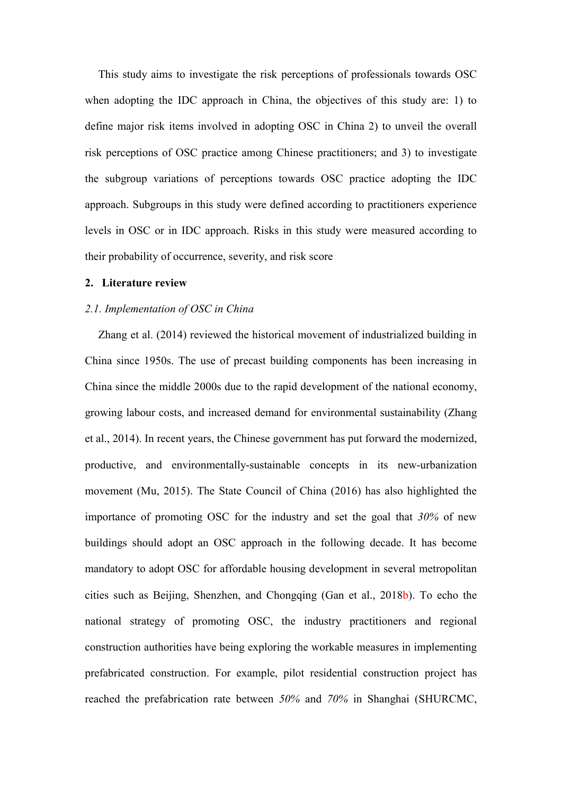This study aims to investigate the risk perceptions of professionals towards OSC when adopting the IDC approach in China, the objectives of this study are: 1) to define major risk items involved in adopting OSC in China 2) to unveil the overall risk perceptions of OSC practice among Chinese practitioners; and 3) to investigate the subgroup variations of perceptions towards OSC practice adopting the IDC approach. Subgroups in this study were defined according to practitioners experience levels in OSC or in IDC approach. Risks in this study were measured according to their probability of occurrence, severity, and risk score

#### **2. Literature review**

## *2.1. Implementation of OSC in China*

Zhang et al. (2014) reviewed the historical movement of industrialized building in China since 1950s. The use of precast building components has been increasing in China since the middle 2000s due to the rapid development of the national economy, growing labour costs, and increased demand for environmental sustainability (Zhang et al., 2014). In recent years, the Chinese government has put forward the modernized, productive, and environmentally-sustainable concepts in its new-urbanization movement (Mu, 2015). The State Council of China (2016) has also highlighted the importance of promoting OSC for the industry and set the goal that *30%* of new buildings should adopt an OSC approach in the following decade. It has become mandatory to adopt OSC for affordable housing development in several metropolitan cities such as Beijing, Shenzhen, and Chongqing (Gan et al., 2018b). To echo the national strategy of promoting OSC, the industry practitioners and regional construction authorities have being exploring the workable measures in implementing prefabricated construction. For example, pilot residential construction project has reached the prefabrication rate between *50%* and *70%* in Shanghai (SHURCMC,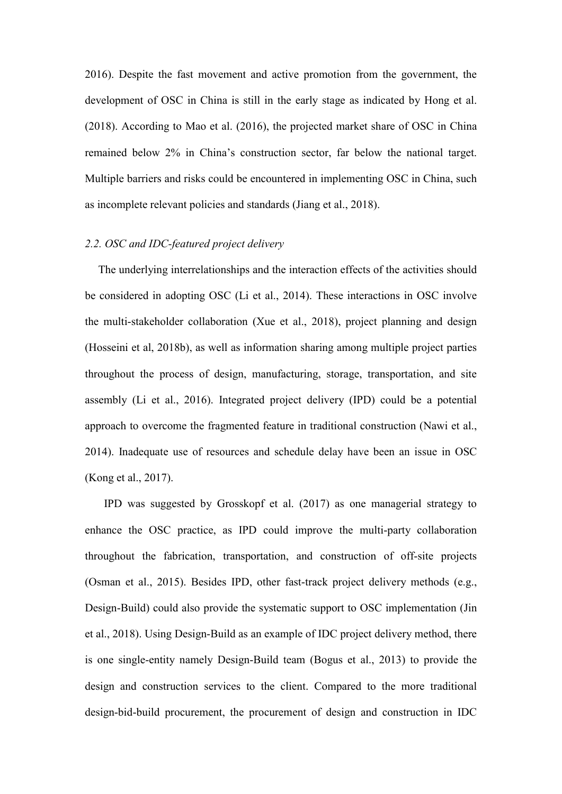2016). Despite the fast movement and active promotion from the government, the development of OSC in China is still in the early stage as indicated by Hong et al. (2018). According to Mao et al. (2016), the projected market share of OSC in China remained below 2% in China's construction sector, far below the national target. Multiple barriers and risks could be encountered in implementing OSC in China, such as incomplete relevant policies and standards (Jiang et al., 2018).

## *2.2. OSC and IDC-featured project delivery*

The underlying interrelationships and the interaction effects of the activities should be considered in adopting OSC (Li et al., 2014). These interactions in OSC involve the multi-stakeholder collaboration (Xue et al., 2018), project planning and design (Hosseini et al, 2018b), as well as information sharing among multiple project parties throughout the process of design, manufacturing, storage, transportation, and site assembly (Li et al., 2016). Integrated project delivery (IPD) could be a potential approach to overcome the fragmented feature in traditional construction (Nawi et al., 2014). Inadequate use of resources and schedule delay have been an issue in OSC (Kong et al., 2017).

IPD was suggested by Grosskopf et al. (2017) as one managerial strategy to enhance the OSC practice, as IPD could improve the multi-party collaboration throughout the fabrication, transportation, and construction of off-site projects (Osman et al., 2015). Besides IPD, other fast-track project delivery methods (e.g., Design-Build) could also provide the systematic support to OSC implementation (Jin et al., 2018). Using Design-Build as an example of IDC project delivery method, there is one single-entity namely Design-Build team (Bogus et al., 2013) to provide the design and construction services to the client. Compared to the more traditional design-bid-build procurement, the procurement of design and construction in IDC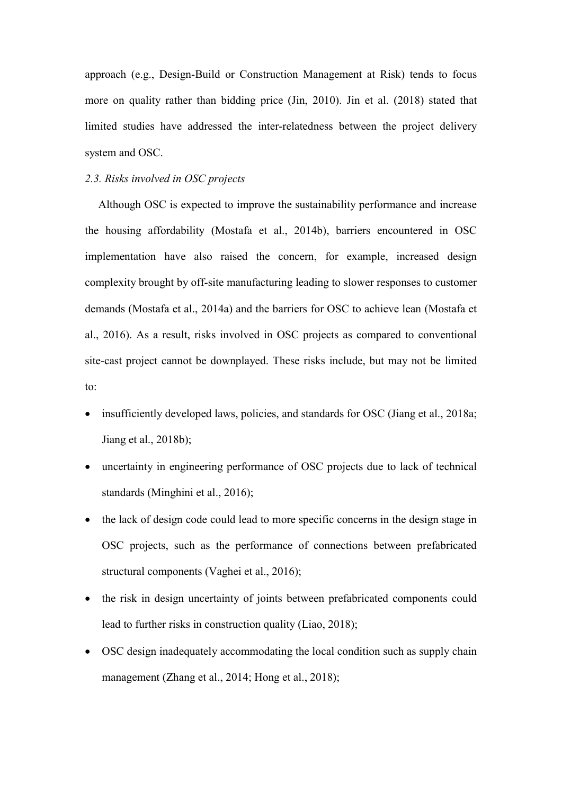approach (e.g., Design-Build or Construction Management at Risk) tends to focus more on quality rather than bidding price (Jin, 2010). Jin et al. (2018) stated that limited studies have addressed the inter-relatedness between the project delivery system and OSC.

## *2.3. Risks involved in OSC projects*

Although OSC is expected to improve the sustainability performance and increase the housing affordability (Mostafa et al., 2014b), barriers encountered in OSC implementation have also raised the concern, for example, increased design complexity brought by off-site manufacturing leading to slower responses to customer demands (Mostafa et al., 2014a) and the barriers for OSC to achieve lean (Mostafa et al., 2016). As a result, risks involved in OSC projects as compared to conventional site-cast project cannot be downplayed. These risks include, but may not be limited to:

- insufficiently developed laws, policies, and standards for OSC (Jiang et al., 2018a; Jiang et al., 2018b);
- uncertainty in engineering performance of OSC projects due to lack of technical standards (Minghini et al., 2016);
- the lack of design code could lead to more specific concerns in the design stage in OSC projects, such as the performance of connections between prefabricated structural components (Vaghei et al., 2016);
- the risk in design uncertainty of joints between prefabricated components could lead to further risks in construction quality (Liao, 2018);
- OSC design inadequately accommodating the local condition such as supply chain management (Zhang et al., 2014; Hong et al., 2018);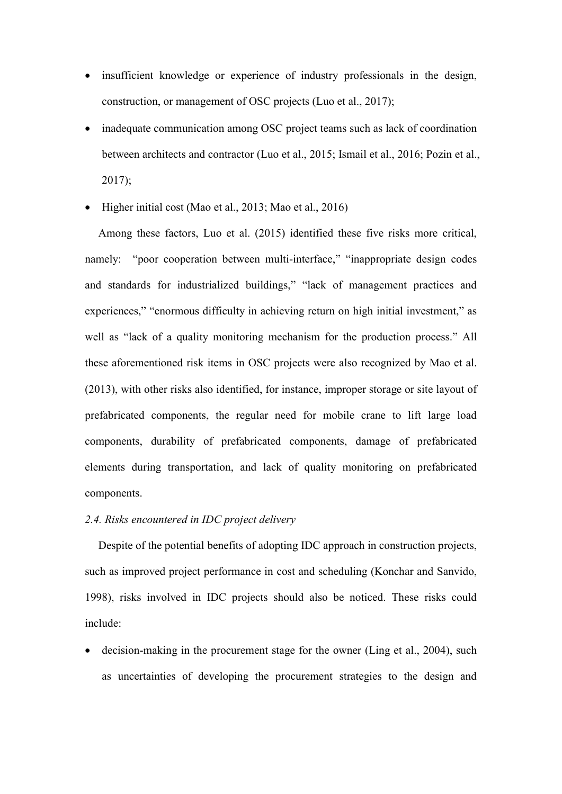- insufficient knowledge or experience of industry professionals in the design, construction, or management of OSC projects (Luo et al., 2017);
- inadequate communication among OSC project teams such as lack of coordination between architects and contractor (Luo et al., 2015; Ismail et al., 2016; Pozin et al., 2017);
- Higher initial cost (Mao et al., 2013; Mao et al., 2016)

Among these factors, Luo et al. (2015) identified these five risks more critical, namely: "poor cooperation between multi-interface," "inappropriate design codes and standards for industrialized buildings," "lack of management practices and experiences," "enormous difficulty in achieving return on high initial investment," as well as "lack of a quality monitoring mechanism for the production process." All these aforementioned risk items in OSC projects were also recognized by Mao et al. (2013), with other risks also identified, for instance, improper storage or site layout of prefabricated components, the regular need for mobile crane to lift large load components, durability of prefabricated components, damage of prefabricated elements during transportation, and lack of quality monitoring on prefabricated components.

### *2.4. Risks encountered in IDC project delivery*

Despite of the potential benefits of adopting IDC approach in construction projects, such as improved project performance in cost and scheduling (Konchar and Sanvido, 1998), risks involved in IDC projects should also be noticed. These risks could include:

 decision-making in the procurement stage for the owner (Ling et al., 2004), such as uncertainties of developing the procurement strategies to the design and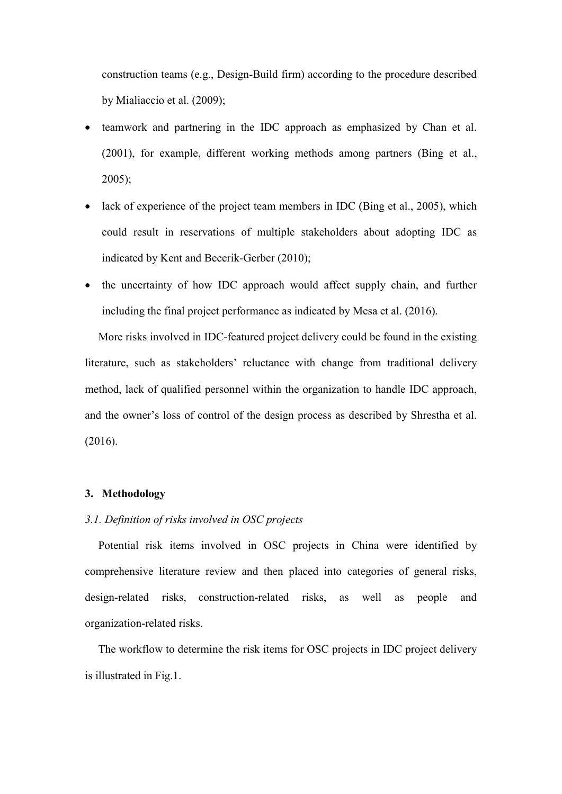construction teams (e.g., Design-Build firm) according to the procedure described by Mialiaccio et al. (2009);

- teamwork and partnering in the IDC approach as emphasized by Chan et al. (2001), for example, different working methods among partners (Bing et al., 2005);
- lack of experience of the project team members in IDC (Bing et al., 2005), which could result in reservations of multiple stakeholders about adopting IDC as indicated by Kent and Becerik-Gerber (2010);
- the uncertainty of how IDC approach would affect supply chain, and further including the final project performance as indicated by Mesa et al. (2016).

More risks involved in IDC-featured project delivery could be found in the existing literature, such as stakeholders' reluctance with change from traditional delivery method, lack of qualified personnel within the organization to handle IDC approach, and the owner's loss of control of the design process as described by Shrestha et al. (2016).

## **3. Methodology**

## *3.1. Definition of risks involved in OSC projects*

Potential risk items involved in OSC projects in China were identified by comprehensive literature review and then placed into categories of general risks, design-related risks, construction-related risks, as well as people and organization-related risks.

The workflow to determine the risk items for OSC projects in IDC project delivery is illustrated in Fig.1.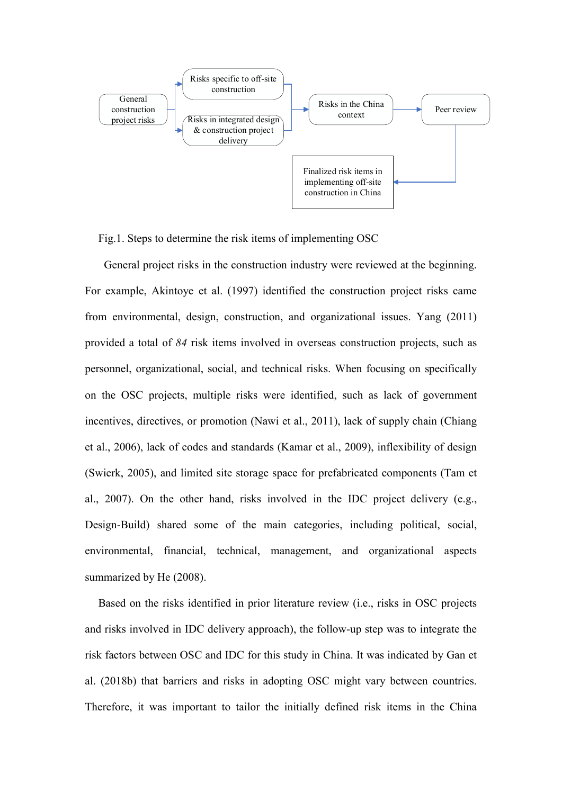

Fig.1. Steps to determine the risk items of implementing OSC

General project risks in the construction industry were reviewed at the beginning. For example, Akintoye et al. (1997) identified the construction project risks came from environmental, design, construction, and organizational issues. Yang (2011) provided a total of *84* risk items involved in overseas construction projects, such as personnel, organizational, social, and technical risks. When focusing on specifically on the OSC projects, multiple risks were identified, such as lack of government incentives, directives, or promotion (Nawi et al., 2011), lack of supply chain (Chiang et al., 2006), lack of codes and standards (Kamar et al., 2009), inflexibility of design (Swierk, 2005), and limited site storage space for prefabricated components (Tam et al., 2007). On the other hand, risks involved in the IDC project delivery (e.g., Design-Build) shared some of the main categories, including political, social, environmental, financial, technical, management, and organizational aspects summarized by He (2008).

Based on the risks identified in prior literature review (i.e., risks in OSC projects and risks involved in IDC delivery approach), the follow-up step was to integrate the risk factors between OSC and IDC for this study in China. It was indicated by Gan et al. (2018b) that barriers and risks in adopting OSC might vary between countries. Therefore, it was important to tailor the initially defined risk items in the China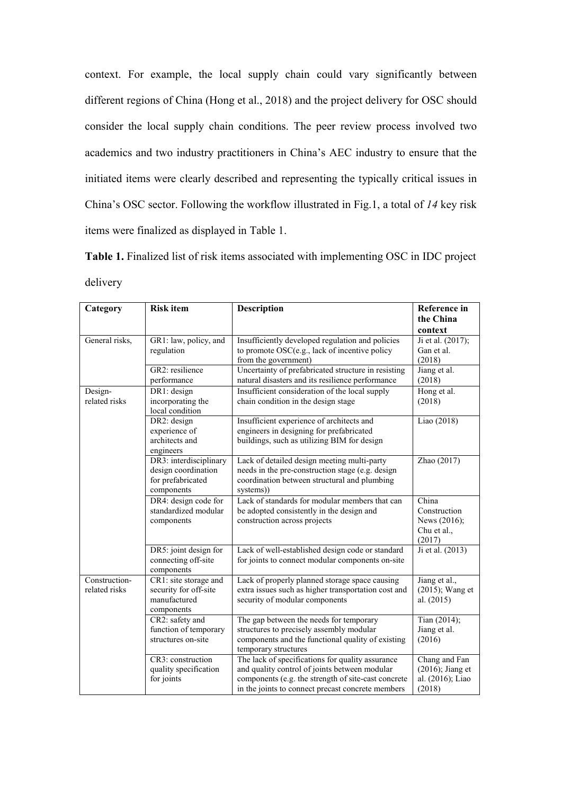context. For example, the local supply chain could vary significantly between different regions of China (Hong et al., 2018) and the project delivery for OSC should consider the local supply chain conditions. The peer review process involved two academics and two industry practitioners in China's AEC industry to ensure that the initiated items were clearly described and representing the typically critical issues in China's OSC sector. Following the workflow illustrated in Fig.1, a total of *14* key risk items were finalized as displayed in Table 1.

**Table 1.** Finalized list of risk items associated with implementing OSC in IDC project delivery

| Category       | <b>Risk item</b>                             | <b>Description</b>                                                        | <b>Reference</b> in   |
|----------------|----------------------------------------------|---------------------------------------------------------------------------|-----------------------|
|                |                                              |                                                                           | the China             |
|                |                                              |                                                                           | context               |
| General risks, | GR1: law, policy, and                        | Insufficiently developed regulation and policies                          | Ji et al. (2017);     |
|                | regulation                                   | to promote OSC(e.g., lack of incentive policy                             | Gan et al.            |
|                |                                              | from the government)                                                      | (2018)                |
|                | GR2: resilience                              | Uncertainty of prefabricated structure in resisting                       | Jiang et al.          |
|                | performance                                  | natural disasters and its resilience performance                          | (2018)                |
| Design-        | DR1: design                                  | Insufficient consideration of the local supply                            | Hong et al.           |
| related risks  | incorporating the                            | chain condition in the design stage                                       | (2018)                |
|                | local condition                              |                                                                           |                       |
|                | DR2: design                                  | Insufficient experience of architects and                                 | Liao (2018)           |
|                | experience of                                | engineers in designing for prefabricated                                  |                       |
|                | architects and                               | buildings, such as utilizing BIM for design                               |                       |
|                | engineers                                    |                                                                           |                       |
|                | DR3: interdisciplinary                       | Lack of detailed design meeting multi-party                               | Zhao (2017)           |
|                | design coordination                          | needs in the pre-construction stage (e.g. design                          |                       |
|                | for prefabricated                            | coordination between structural and plumbing                              |                       |
|                | components                                   | systems))                                                                 |                       |
|                | DR4: design code for<br>standardized modular | Lack of standards for modular members that can                            | China<br>Construction |
|                |                                              | be adopted consistently in the design and<br>construction across projects | News (2016);          |
|                | components                                   |                                                                           | Chu et al.,           |
|                |                                              |                                                                           | (2017)                |
|                | DR5: joint design for                        | Lack of well-established design code or standard                          | Ji et al. (2013)      |
|                | connecting off-site                          | for joints to connect modular components on-site                          |                       |
|                | components                                   |                                                                           |                       |
| Construction-  | CR1: site storage and                        | Lack of properly planned storage space causing                            | Jiang et al.,         |
| related risks  | security for off-site                        | extra issues such as higher transportation cost and                       | (2015); Wang et       |
|                | manufactured                                 | security of modular components                                            | al. (2015)            |
|                | components                                   |                                                                           |                       |
|                | CR2: safety and                              | The gap between the needs for temporary                                   | Tian (2014);          |
|                | function of temporary                        | structures to precisely assembly modular                                  | Jiang et al.          |
|                | structures on-site                           | components and the functional quality of existing                         | (2016)                |
|                |                                              | temporary structures                                                      |                       |
|                | CR3: construction                            | The lack of specifications for quality assurance                          | Chang and Fan         |
|                | quality specification                        | and quality control of joints between modular                             | $(2016)$ ; Jiang et   |
|                | for joints                                   | components (e.g. the strength of site-cast concrete                       | al. (2016); Liao      |
|                |                                              | in the joints to connect precast concrete members                         | (2018)                |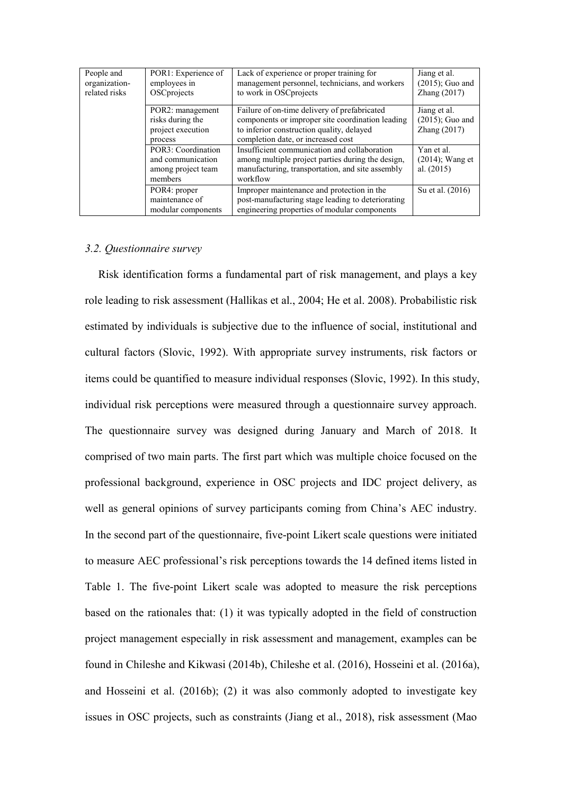| People and<br>organization-<br>related risks | POR1: Experience of<br>employees in<br>OSCprojects                       | Lack of experience or proper training for<br>management personnel, technicians, and workers<br>to work in OSCprojects                                                               | Jiang et al.<br>$(2015)$ ; Guo and<br>Zhang $(2017)$ |
|----------------------------------------------|--------------------------------------------------------------------------|-------------------------------------------------------------------------------------------------------------------------------------------------------------------------------------|------------------------------------------------------|
|                                              | POR2: management<br>risks during the<br>project execution<br>process     | Failure of on-time delivery of prefabricated<br>components or improper site coordination leading<br>to inferior construction quality, delayed<br>completion date, or increased cost | Jiang et al.<br>$(2015)$ ; Guo and<br>Zhang (2017)   |
|                                              | POR3: Coordination<br>and communication<br>among project team<br>members | Insufficient communication and collaboration<br>among multiple project parties during the design,<br>manufacturing, transportation, and site assembly<br>workflow                   | Yan et al.<br>$(2014)$ ; Wang et<br>al. $(2015)$     |
|                                              | POR4: proper<br>maintenance of<br>modular components                     | Improper maintenance and protection in the<br>post-manufacturing stage leading to deteriorating<br>engineering properties of modular components                                     | Su et al. (2016)                                     |

#### *3.2. Questionnaire survey*

Risk identification forms a fundamental part of risk management, and plays a key role leading to risk assessment (Hallikas et al., 2004; He et al. 2008). Probabilistic risk estimated by individuals is subjective due to the influence of social, institutional and cultural factors (Slovic, 1992). With appropriate survey instruments, risk factors or items could be quantified to measure individual responses (Slovic, 1992). In this study, individual risk perceptions were measured through a questionnaire survey approach. The questionnaire survey was designed during January and March of 2018. It comprised of two main parts. The first part which was multiple choice focused on the professional background, experience in OSC projects and IDC project delivery, as well as general opinions of survey participants coming from China's AEC industry. In the second part of the questionnaire, five-point Likert scale questions were initiated to measure AEC professional's risk perceptions towards the 14 defined items listed in Table 1. The five-point Likert scale was adopted to measure the risk perceptions based on the rationales that: (1) it was typically adopted in the field of construction project management especially in risk assessment and management, examples can be found in Chileshe and Kikwasi (2014b), Chileshe et al. (2016), Hosseini et al. (2016a), and Hosseini et al. (2016b); (2) it was also commonly adopted to investigate key issues in OSC projects, such as constraints (Jiang et al., 2018), risk assessment (Mao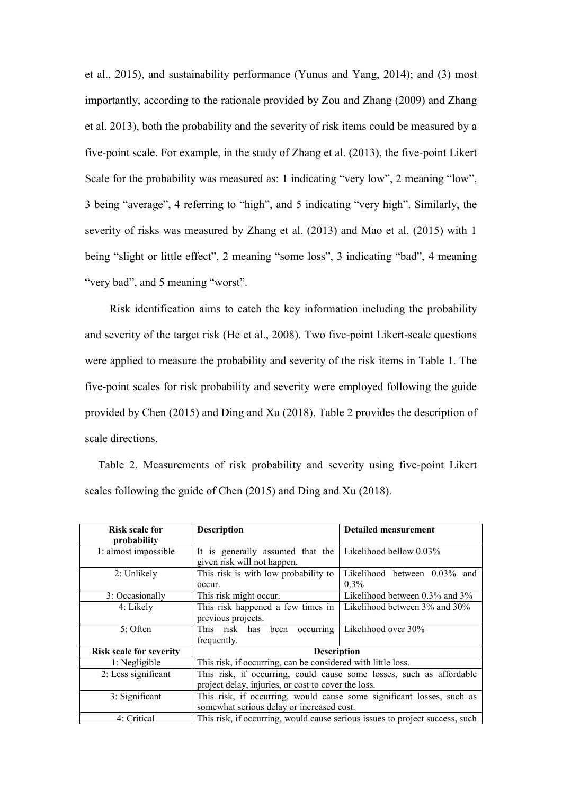et al., 2015), and sustainability performance (Yunus and Yang, 2014); and (3) most importantly, according to the rationale provided by Zou and Zhang (2009) and Zhang et al. 2013), both the probability and the severity of risk items could be measured by a five-point scale. For example, in the study of Zhang et al. (2013), the five-point Likert Scale for the probability was measured as: 1 indicating "very low", 2 meaning "low", 3 being "average", 4 referring to "high", and 5 indicating "very high". Similarly, the severity of risks was measured by Zhang et al. (2013) and Mao et al. (2015) with 1 being "slight or little effect", 2 meaning "some loss", 3 indicating "bad", 4 meaning "very bad", and 5 meaning "worst".

 Risk identification aims to catch the key information including the probability and severity of the target risk (He et al., 2008). Two five-point Likert-scale questions were applied to measure the probability and severity of the risk items in Table 1. The five-point scales for risk probability and severity were employed following the guide provided by Chen (2015) and Ding and Xu (2018). Table 2 provides the description of scale directions.

Table 2. Measurements of risk probability and severity using five-point Likert scales following the guide of Chen (2015) and Ding and Xu (2018).

| Risk scale for                 | <b>Description</b>                                                           | <b>Detailed measurement</b>    |  |  |  |  |  |  |
|--------------------------------|------------------------------------------------------------------------------|--------------------------------|--|--|--|--|--|--|
|                                |                                                                              |                                |  |  |  |  |  |  |
| probability                    |                                                                              |                                |  |  |  |  |  |  |
| 1: almost impossible           | It is generally assumed that the                                             | Likelihood bellow 0.03%        |  |  |  |  |  |  |
|                                | given risk will not happen.                                                  |                                |  |  |  |  |  |  |
| 2: Unlikely                    | This risk is with low probability to                                         | Likelihood between 0.03% and   |  |  |  |  |  |  |
|                                | occur.                                                                       | $0.3\%$                        |  |  |  |  |  |  |
| 3: Occasionally                | This risk might occur.                                                       | Likelihood between 0.3% and 3% |  |  |  |  |  |  |
| 4: Likely                      | This risk happened a few times in                                            | Likelihood between 3% and 30%  |  |  |  |  |  |  |
|                                | previous projects.                                                           |                                |  |  |  |  |  |  |
| 5: Often                       | been occurring<br>This risk has                                              | Likelihood over 30%            |  |  |  |  |  |  |
|                                | frequently.                                                                  |                                |  |  |  |  |  |  |
| <b>Risk scale for severity</b> | <b>Description</b>                                                           |                                |  |  |  |  |  |  |
| 1: Negligible                  | This risk, if occurring, can be considered with little loss.                 |                                |  |  |  |  |  |  |
| 2: Less significant            | This risk, if occurring, could cause some losses, such as affordable         |                                |  |  |  |  |  |  |
|                                | project delay, injuries, or cost to cover the loss.                          |                                |  |  |  |  |  |  |
| 3: Significant                 | This risk, if occurring, would cause some significant losses, such as        |                                |  |  |  |  |  |  |
|                                | somewhat serious delay or increased cost.                                    |                                |  |  |  |  |  |  |
| 4: Critical                    | This risk, if occurring, would cause serious issues to project success, such |                                |  |  |  |  |  |  |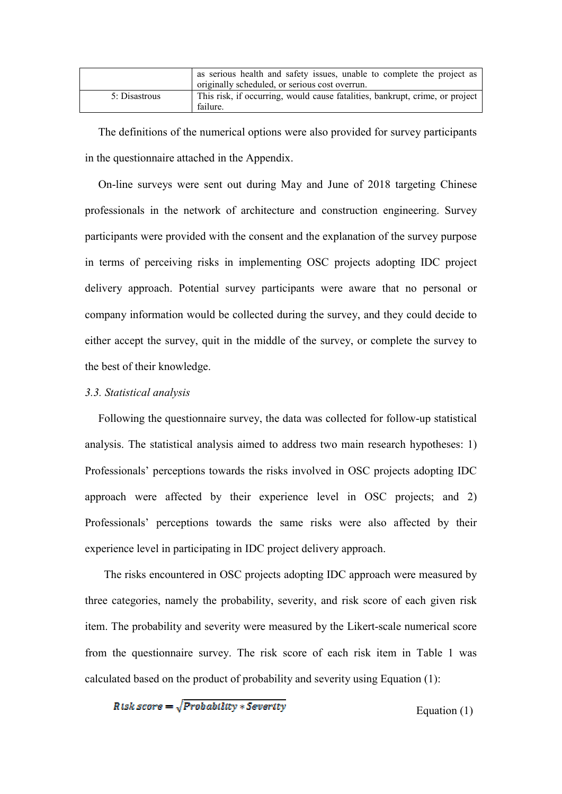|               | as serious health and safety issues, unable to complete the project as<br>originally scheduled, or serious cost overrun. |
|---------------|--------------------------------------------------------------------------------------------------------------------------|
| 5: Disastrous | This risk, if occurring, would cause fatalities, bankrupt, crime, or project<br>failure.                                 |

The definitions of the numerical options were also provided for survey participants in the questionnaire attached in the Appendix.

On-line surveys were sent out during May and June of 2018 targeting Chinese professionals in the network of architecture and construction engineering. Survey participants were provided with the consent and the explanation of the survey purpose in terms of perceiving risks in implementing OSC projects adopting IDC project delivery approach. Potential survey participants were aware that no personal or company information would be collected during the survey, and they could decide to either accept the survey, quit in the middle of the survey, or complete the survey to the best of their knowledge.

#### *3.3. Statistical analysis*

Following the questionnaire survey, the data was collected for follow-up statistical analysis. The statistical analysis aimed to address two main research hypotheses: 1) Professionals' perceptions towards the risks involved in OSC projects adopting IDC approach were affected by their experience level in OSC projects; and 2) Professionals' perceptions towards the same risks were also affected by their experience level in participating in IDC project delivery approach.

The risks encountered in OSC projects adopting IDC approach were measured by three categories, namely the probability, severity, and risk score of each given risk item. The probability and severity were measured by the Likert-scale numerical score from the questionnaire survey. The risk score of each risk item in Table 1 was calculated based on the product of probability and severity using Equation (1):

$$
Risk\ score = \sqrt{Probability*Serverity}
$$

Equation (1)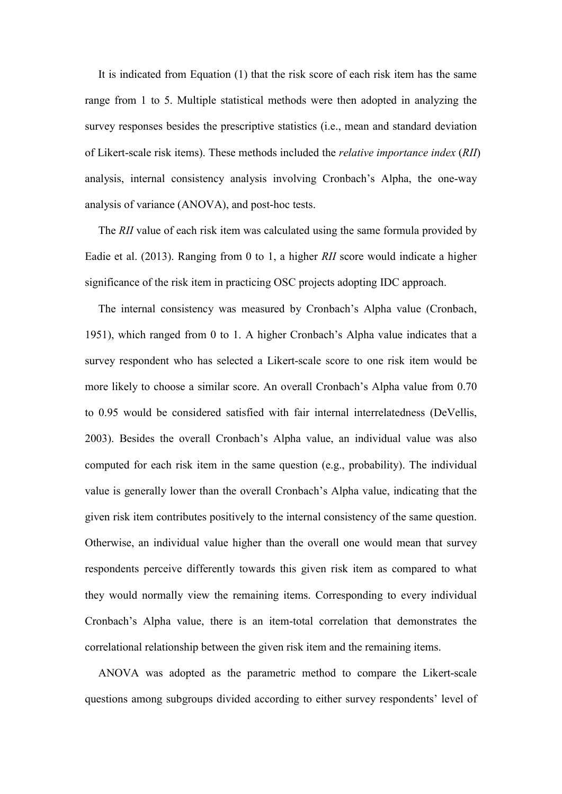It is indicated from Equation (1) that the risk score of each risk item has the same range from 1 to 5. Multiple statistical methods were then adopted in analyzing the survey responses besides the prescriptive statistics (i.e., mean and standard deviation of Likert-scale risk items). These methods included the *relative importance index* (*RII*) analysis, internal consistency analysis involving Cronbach's Alpha, the one-way analysis of variance (ANOVA), and post-hoc tests.

The *RII* value of each risk item was calculated using the same formula provided by Eadie et al. (2013). Ranging from 0 to 1, a higher *RII* score would indicate a higher significance of the risk item in practicing OSC projects adopting IDC approach.

The internal consistency was measured by Cronbach's Alpha value (Cronbach, 1951), which ranged from 0 to 1. A higher Cronbach's Alpha value indicates that a survey respondent who has selected a Likert-scale score to one risk item would be more likely to choose a similar score. An overall Cronbach's Alpha value from 0.70 to 0.95 would be considered satisfied with fair internal interrelatedness (DeVellis, 2003). Besides the overall Cronbach's Alpha value, an individual value was also computed for each risk item in the same question (e.g., probability). The individual value is generally lower than the overall Cronbach's Alpha value, indicating that the given risk item contributes positively to the internal consistency of the same question. Otherwise, an individual value higher than the overall one would mean that survey respondents perceive differently towards this given risk item as compared to what they would normally view the remaining items. Corresponding to every individual Cronbach's Alpha value, there is an item-total correlation that demonstrates the correlational relationship between the given risk item and the remaining items.

ANOVA was adopted as the parametric method to compare the Likert-scale questions among subgroups divided according to either survey respondents' level of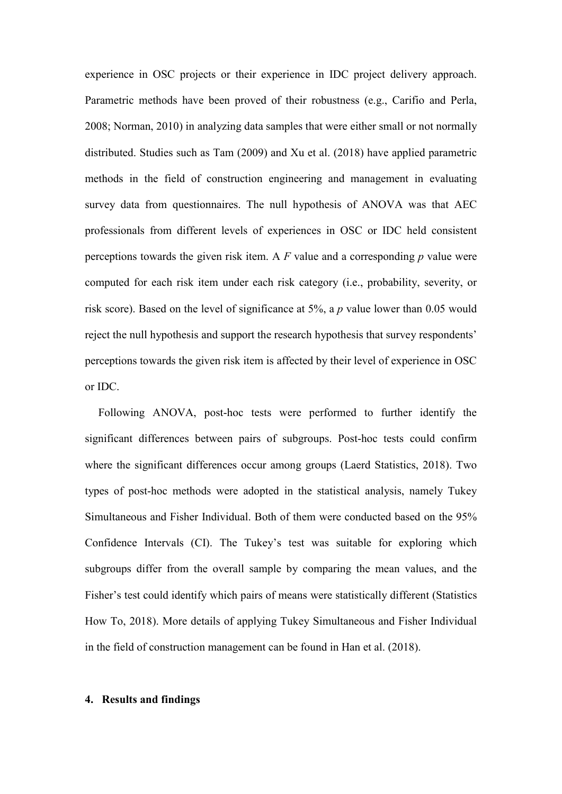experience in OSC projects or their experience in IDC project delivery approach. Parametric methods have been proved of their robustness (e.g., Carifio and Perla, 2008; Norman, 2010) in analyzing data samples that were either small or not normally distributed. Studies such as Tam (2009) and Xu et al. (2018) have applied parametric methods in the field of construction engineering and management in evaluating survey data from questionnaires. The null hypothesis of ANOVA was that AEC professionals from different levels of experiences in OSC or IDC held consistent perceptions towards the given risk item. A *F* value and a corresponding *p* value were computed for each risk item under each risk category (i.e., probability, severity, or risk score). Based on the level of significance at 5%, a *p* value lower than 0.05 would reject the null hypothesis and support the research hypothesis that survey respondents' perceptions towards the given risk item is affected by their level of experience in OSC or IDC.

Following ANOVA, post-hoc tests were performed to further identify the significant differences between pairs of subgroups. Post-hoc tests could confirm where the significant differences occur among groups (Laerd Statistics, 2018). Two types of post-hoc methods were adopted in the statistical analysis, namely Tukey Simultaneous and Fisher Individual. Both of them were conducted based on the 95% Confidence Intervals (CI). The Tukey's test was suitable for exploring which subgroups differ from the overall sample by comparing the mean values, and the Fisher's test could identify which pairs of means were statistically different (Statistics How To, 2018). More details of applying Tukey Simultaneous and Fisher Individual in the field of construction management can be found in Han et al. (2018).

### **4. Results and findings**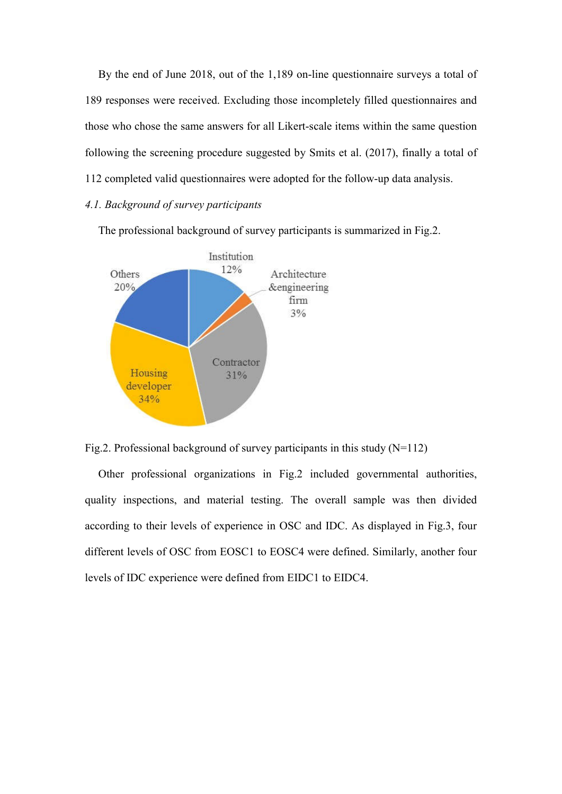By the end of June 2018, out of the 1,189 on-line questionnaire surveys a total of 189 responses were received. Excluding those incompletely filled questionnaires and those who chose the same answers for all Likert-scale items within the same question following the screening procedure suggested by Smits et al. (2017), finally a total of 112 completed valid questionnaires were adopted for the follow-up data analysis.

# *4.1. Background of survey participants*

The professional background of survey participants is summarized in Fig.2.





Other professional organizations in Fig.2 included governmental authorities, quality inspections, and material testing. The overall sample was then divided according to their levels of experience in OSC and IDC. As displayed in Fig.3, four different levels of OSC from EOSC1 to EOSC4 were defined. Similarly, another four levels of IDC experience were defined from EIDC1 to EIDC4.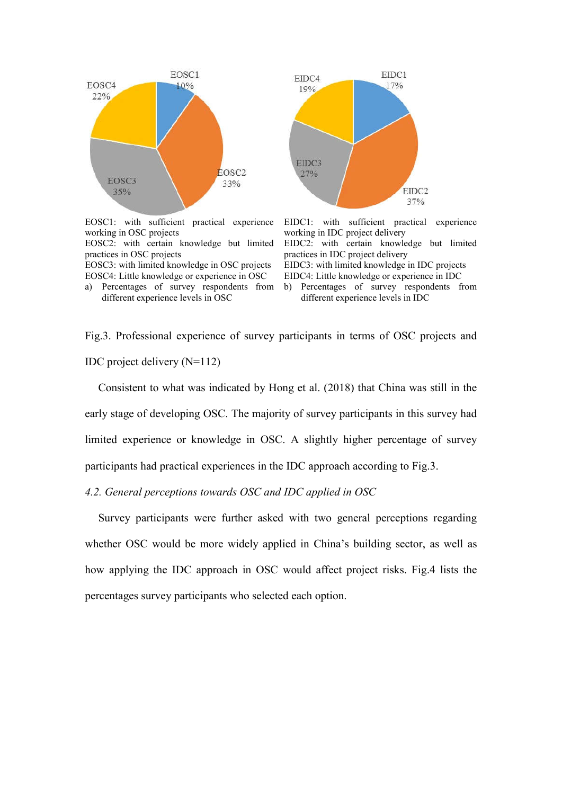

EOSC1: with sufficient practical experience working in OSC projects EOSC2: with certain knowledge but limited

practices in OSC projects EOSC3: with limited knowledge in OSC projects EOSC4: Little knowledge or experience in OSC





EIDC1: with sufficient practical experience working in IDC project delivery EIDC2: with certain knowledge but limited practices in IDC project delivery EIDC3: with limited knowledge in IDC projects EIDC4: Little knowledge or experience in IDC

b) Percentages of survey respondents from different experience levels in IDC

Fig.3. Professional experience of survey participants in terms of OSC projects and IDC project delivery (N=112)

Consistent to what was indicated by Hong et al. (2018) that China was still in the early stage of developing OSC. The majority of survey participants in this survey had limited experience or knowledge in OSC. A slightly higher percentage of survey participants had practical experiences in the IDC approach according to Fig.3.

*4.2. General perceptions towards OSC and IDC applied in OSC* 

Survey participants were further asked with two general perceptions regarding whether OSC would be more widely applied in China's building sector, as well as how applying the IDC approach in OSC would affect project risks. Fig.4 lists the percentages survey participants who selected each option.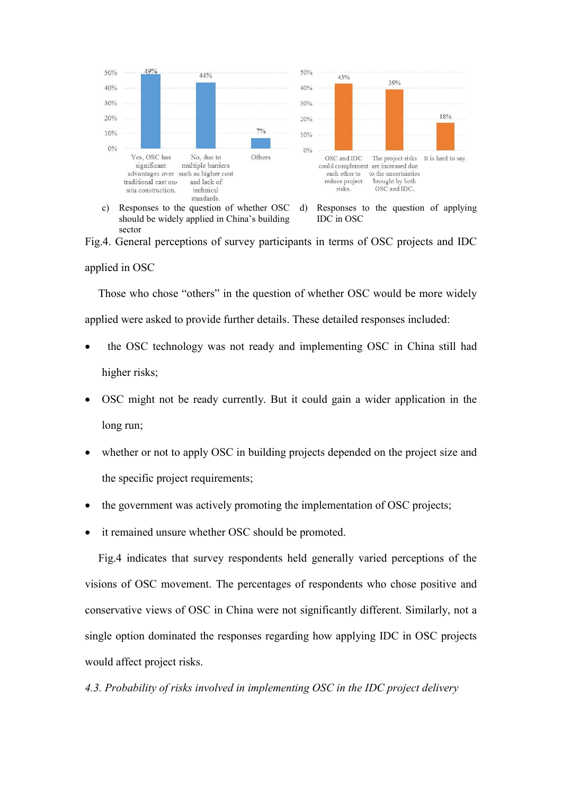

c) Responses to the question of whether OSC should be widely applied in China's building sector

d) Responses to the question of applying IDC in OSC

Fig.4. General perceptions of survey participants in terms of OSC projects and IDC applied in OSC

Those who chose "others" in the question of whether OSC would be more widely applied were asked to provide further details. These detailed responses included:

- the OSC technology was not ready and implementing OSC in China still had higher risks;
- OSC might not be ready currently. But it could gain a wider application in the long run;
- whether or not to apply OSC in building projects depended on the project size and the specific project requirements;
- the government was actively promoting the implementation of OSC projects;
- it remained unsure whether OSC should be promoted.

Fig.4 indicates that survey respondents held generally varied perceptions of the visions of OSC movement. The percentages of respondents who chose positive and conservative views of OSC in China were not significantly different. Similarly, not a single option dominated the responses regarding how applying IDC in OSC projects would affect project risks.

*4.3. Probability of risks involved in implementing OSC in the IDC project delivery*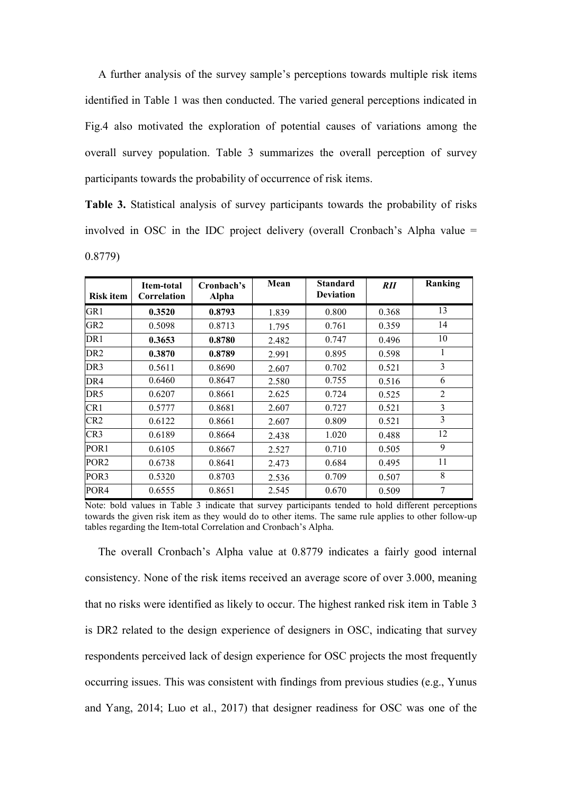A further analysis of the survey sample's perceptions towards multiple risk items identified in Table 1 was then conducted. The varied general perceptions indicated in Fig.4 also motivated the exploration of potential causes of variations among the overall survey population. Table 3 summarizes the overall perception of survey participants towards the probability of occurrence of risk items.

**Table 3.** Statistical analysis of survey participants towards the probability of risks involved in OSC in the IDC project delivery (overall Cronbach's Alpha value = 0.8779)

| <b>Risk item</b> | Item-total<br>Correlation | Cronbach's<br><b>Alpha</b> | Mean  | <b>Standard</b><br><b>Deviation</b> | <i>RII</i> | Ranking        |
|------------------|---------------------------|----------------------------|-------|-------------------------------------|------------|----------------|
| GR <sub>1</sub>  | 0.3520                    | 0.8793                     | 1.839 | 0.800                               | 0.368      | 13             |
| GR <sub>2</sub>  | 0.5098                    | 0.8713                     | 1.795 | 0.761                               | 0.359      | 14             |
| DR1              | 0.3653                    | 0.8780                     | 2.482 | 0.747                               | 0.496      | 10             |
| DR <sub>2</sub>  | 0.3870                    | 0.8789                     | 2.991 | 0.895                               | 0.598      | 1              |
| DR <sub>3</sub>  | 0.5611                    | 0.8690                     | 2.607 | 0.702                               | 0.521      | 3              |
| DR4              | 0.6460                    | 0.8647                     | 2.580 | 0.755                               | 0.516      | 6              |
| DR5              | 0.6207                    | 0.8661                     | 2.625 | 0.724                               | 0.525      | $\overline{2}$ |
| CR1              | 0.5777                    | 0.8681                     | 2.607 | 0.727                               | 0.521      | 3              |
| CR <sub>2</sub>  | 0.6122                    | 0.8661                     | 2.607 | 0.809                               | 0.521      | $\overline{3}$ |
| CR <sub>3</sub>  | 0.6189                    | 0.8664                     | 2.438 | 1.020                               | 0.488      | 12             |
| POR <sub>1</sub> | 0.6105                    | 0.8667                     | 2.527 | 0.710                               | 0.505      | 9              |
| POR <sub>2</sub> | 0.6738                    | 0.8641                     | 2.473 | 0.684                               | 0.495      | 11             |
| POR3             | 0.5320                    | 0.8703                     | 2.536 | 0.709                               | 0.507      | 8              |
| POR <sub>4</sub> | 0.6555                    | 0.8651                     | 2.545 | 0.670                               | 0.509      | 7              |

Note: bold values in Table 3 indicate that survey participants tended to hold different perceptions towards the given risk item as they would do to other items. The same rule applies to other follow-up tables regarding the Item-total Correlation and Cronbach's Alpha.

The overall Cronbach's Alpha value at 0.8779 indicates a fairly good internal consistency. None of the risk items received an average score of over 3.000, meaning that no risks were identified as likely to occur. The highest ranked risk item in Table 3 is DR2 related to the design experience of designers in OSC, indicating that survey respondents perceived lack of design experience for OSC projects the most frequently occurring issues. This was consistent with findings from previous studies (e.g., Yunus and Yang, 2014; Luo et al., 2017) that designer readiness for OSC was one of the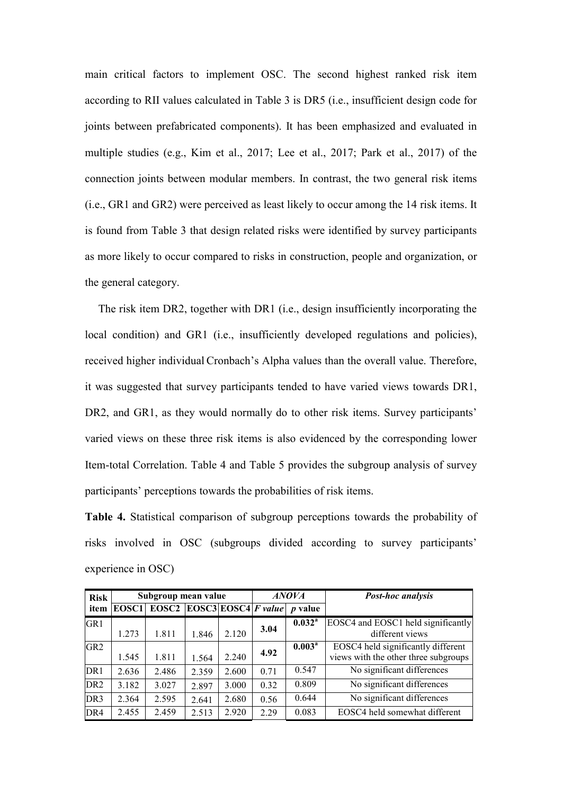main critical factors to implement OSC. The second highest ranked risk item according to RII values calculated in Table 3 is DR5 (i.e., insufficient design code for joints between prefabricated components). It has been emphasized and evaluated in multiple studies (e.g., Kim et al., 2017; Lee et al., 2017; Park et al., 2017) of the connection joints between modular members. In contrast, the two general risk items (i.e., GR1 and GR2) were perceived as least likely to occur among the 14 risk items. It is found from Table 3 that design related risks were identified by survey participants as more likely to occur compared to risks in construction, people and organization, or the general category.

The risk item DR2, together with DR1 (i.e., design insufficiently incorporating the local condition) and GR1 (i.e., insufficiently developed regulations and policies), received higher individual Cronbach's Alpha values than the overall value. Therefore, it was suggested that survey participants tended to have varied views towards DR1, DR2, and GR1, as they would normally do to other risk items. Survey participants' varied views on these three risk items is also evidenced by the corresponding lower Item-total Correlation. Table 4 and Table 5 provides the subgroup analysis of survey participants' perceptions towards the probabilities of risk items.

**Table 4.** Statistical comparison of subgroup perceptions towards the probability of risks involved in OSC (subgroups divided according to survey participants' experience in OSC)

| <b>Risk</b>     |       | Subgroup mean value |                                 |       |      | <b>ANOVA</b>       | <b>Post-hoc analysis</b>                                                   |
|-----------------|-------|---------------------|---------------------------------|-------|------|--------------------|----------------------------------------------------------------------------|
| item            | EOSC1 | EOSC2               | $\overline{EOSC3 EOSC4 Fvalue}$ |       |      | <i>p</i> value     |                                                                            |
| GR1             | 1.273 | 1.811               | 1.846                           | 2.120 | 3.04 | 0.032 <sup>a</sup> | EOSC4 and EOSC1 held significantly<br>different views                      |
| GR2             | 1.545 | 1.811               | 1.564                           | 2.240 | 4.92 | 0.003 <sup>a</sup> | EOSC4 held significantly different<br>views with the other three subgroups |
| DR <sub>1</sub> | 2.636 | 2.486               | 2.359                           | 2.600 | 0.71 | 0.547              | No significant differences                                                 |
| DR <sub>2</sub> | 3.182 | 3.027               | 2.897                           | 3.000 | 0.32 | 0.809              | No significant differences                                                 |
| DR <sub>3</sub> | 2.364 | 2.595               | 2.641                           | 2.680 | 0.56 | 0.644              | No significant differences                                                 |
| DR <sub>4</sub> | 2.455 | 2.459               | 2.513                           | 2.920 | 2.29 | 0.083              | EOSC4 held somewhat different                                              |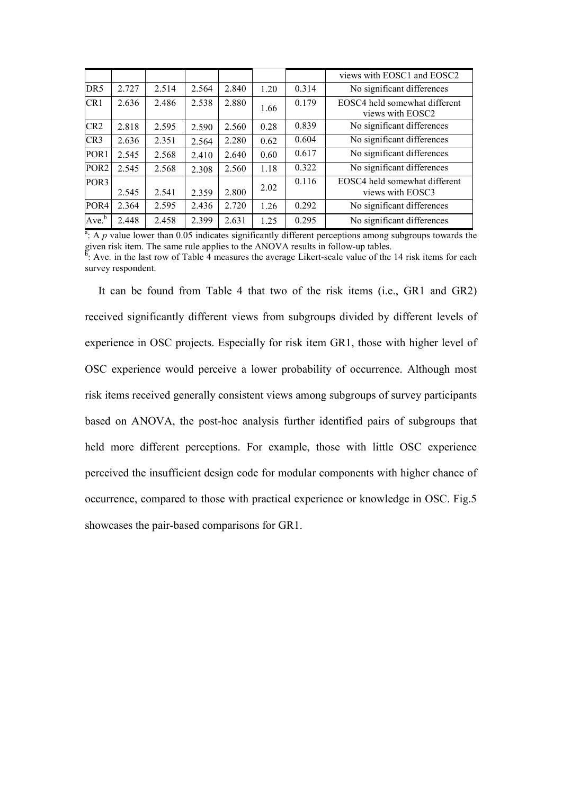|                  |       |       |       |       |      |       | views with EOSC1 and EOSC2                        |
|------------------|-------|-------|-------|-------|------|-------|---------------------------------------------------|
| DR <sub>5</sub>  | 2.727 | 2.514 | 2.564 | 2.840 | 1.20 | 0.314 | No significant differences                        |
| CR <sub>1</sub>  | 2.636 | 2.486 | 2.538 | 2.880 | 1.66 | 0.179 | EOSC4 held somewhat different<br>views with EOSC2 |
| CR2              | 2.818 | 2.595 | 2.590 | 2.560 | 0.28 | 0.839 | No significant differences                        |
| CR <sub>3</sub>  | 2.636 | 2.351 | 2.564 | 2.280 | 0.62 | 0.604 | No significant differences                        |
| POR <sub>1</sub> | 2.545 | 2.568 | 2.410 | 2.640 | 0.60 | 0.617 | No significant differences                        |
| POR <sub>2</sub> | 2.545 | 2.568 | 2.308 | 2.560 | 1.18 | 0.322 | No significant differences                        |
| POR <sub>3</sub> |       |       |       |       | 2.02 | 0.116 | EOSC4 held somewhat different                     |
|                  | 2.545 | 2.541 | 2.359 | 2.800 |      |       | views with EOSC3                                  |
| POR <sub>4</sub> | 2.364 | 2.595 | 2.436 | 2.720 | 1.26 | 0.292 | No significant differences                        |
| $Ave^b$          | 2.448 | 2.458 | 2.399 | 2.631 | 1.25 | 0.295 | No significant differences                        |

 $\frac{a}{a}$ : A *p* value lower than 0.05 indicates significantly different perceptions among subgroups towards the given risk item. The same rule applies to the ANOVA results in follow-up tables.  $\frac{5}{1}$ . Ave. in the last row of Table 4 measures the average Likert-scale value of the 14 risk items for each survey respondent.

It can be found from Table 4 that two of the risk items (i.e., GR1 and GR2) received significantly different views from subgroups divided by different levels of experience in OSC projects. Especially for risk item GR1, those with higher level of OSC experience would perceive a lower probability of occurrence. Although most risk items received generally consistent views among subgroups of survey participants based on ANOVA, the post-hoc analysis further identified pairs of subgroups that held more different perceptions. For example, those with little OSC experience perceived the insufficient design code for modular components with higher chance of occurrence, compared to those with practical experience or knowledge in OSC. Fig.5 showcases the pair-based comparisons for GR1.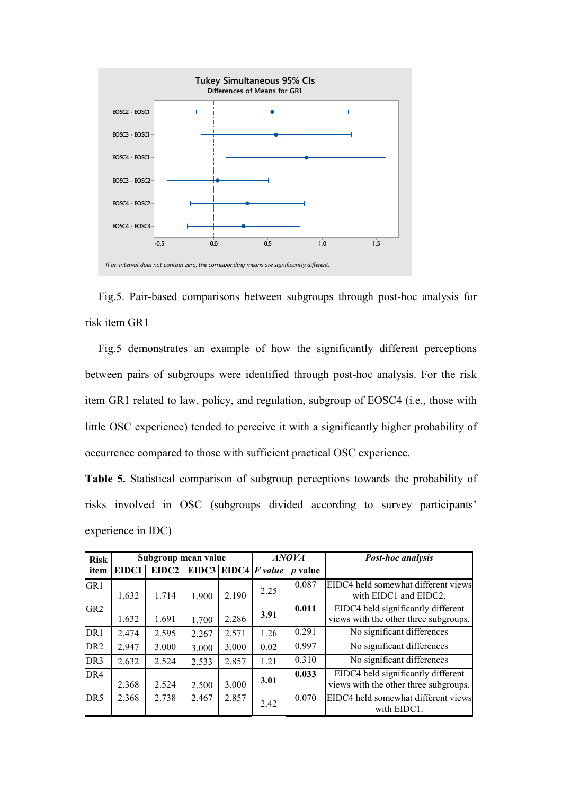

Fig.5. Pair-based comparisons between subgroups through post-hoc analysis for risk item GR1

Fig.5 demonstrates an example of how the significantly different perceptions between pairs of subgroups were identified through post-hoc analysis. For the risk item GR1 related to law, policy, and regulation, subgroup of EOSC4 (i.e., those with little OSC experience) tended to perceive it with a significantly higher probability of occurrence compared to those with sufficient practical OSC experience.

**Table 5.** Statistical comparison of subgroup perceptions towards the probability of risks involved in OSC (subgroups divided according to survey participants' experience in IDC)

| <b>Risk</b>     | Subgroup mean value |       |       |             | <b>ANOVA</b> | <b>Post-hoc analysis</b> |                                                                             |
|-----------------|---------------------|-------|-------|-------------|--------------|--------------------------|-----------------------------------------------------------------------------|
| item            | EIDC1               | EIDC2 |       | EIDC3 EIDC4 |              | $F$ value $p$ value      |                                                                             |
| GR1             | 1.632               | 1.714 | 1.900 | 2.190       | 2.25         | 0.087                    | EIDC4 held somewhat different views<br>with EIDC1 and EIDC2.                |
| GR <sub>2</sub> | 1.632               | 1.691 | 1.700 | 2.286       | 3.91         | 0.011                    | EIDC4 held significantly different<br>views with the other three subgroups. |
| DR <sub>1</sub> | 2.474               | 2.595 | 2.267 | 2.571       | 1.26         | 0.291                    | No significant differences                                                  |
| DR <sub>2</sub> | 2.947               | 3.000 | 3.000 | 3.000       | 0.02         | 0.997                    | No significant differences                                                  |
| DR <sub>3</sub> | 2.632               | 2.524 | 2.533 | 2.857       | 1.21         | 0.310                    | No significant differences                                                  |
| DR <sub>4</sub> | 2.368               | 2.524 | 2.500 | 3.000       | 3.01         | 0.033                    | EIDC4 held significantly different<br>views with the other three subgroups. |
| DR <sub>5</sub> | 2.368               | 2.738 | 2.467 | 2.857       | 2.42         | 0.070                    | EIDC4 held somewhat different views<br>with EIDC1.                          |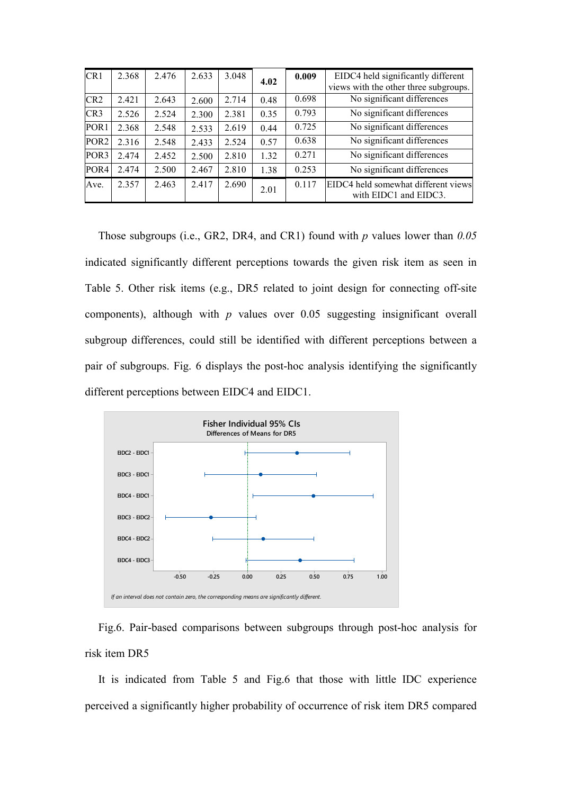| CR1              | 2.368 | 2.476 | 2.633 | 3.048 | 4.02 | 0.009 | EIDC4 held significantly different<br>views with the other three subgroups. |
|------------------|-------|-------|-------|-------|------|-------|-----------------------------------------------------------------------------|
| CR <sub>2</sub>  | 2.421 | 2.643 | 2.600 | 2.714 | 0.48 | 0.698 | No significant differences                                                  |
| CR <sub>3</sub>  | 2.526 | 2.524 | 2.300 | 2.381 | 0.35 | 0.793 | No significant differences                                                  |
| POR <sub>1</sub> | 2.368 | 2.548 | 2.533 | 2.619 | 0.44 | 0.725 | No significant differences                                                  |
| POR <sub>2</sub> | 2.316 | 2.548 | 2.433 | 2.524 | 0.57 | 0.638 | No significant differences                                                  |
| POR <sub>3</sub> | 2.474 | 2.452 | 2.500 | 2.810 | 1.32 | 0.271 | No significant differences                                                  |
| POR <sub>4</sub> | 2.474 | 2.500 | 2.467 | 2.810 | 1.38 | 0.253 | No significant differences                                                  |
| Ave.             | 2.357 | 2.463 | 2.417 | 2.690 | 2.01 | 0.117 | EIDC4 held somewhat different views<br>with EIDC1 and EIDC3.                |

Those subgroups (i.e., GR2, DR4, and CR1) found with *p* values lower than *0.05* indicated significantly different perceptions towards the given risk item as seen in Table 5. Other risk items (e.g., DR5 related to joint design for connecting off-site components), although with *p* values over 0.05 suggesting insignificant overall subgroup differences, could still be identified with different perceptions between a pair of subgroups. Fig. 6 displays the post-hoc analysis identifying the significantly different perceptions between EIDC4 and EIDC1.



Fig.6. Pair-based comparisons between subgroups through post-hoc analysis for risk item DR5

It is indicated from Table 5 and Fig.6 that those with little IDC experience perceived a significantly higher probability of occurrence of risk item DR5 compared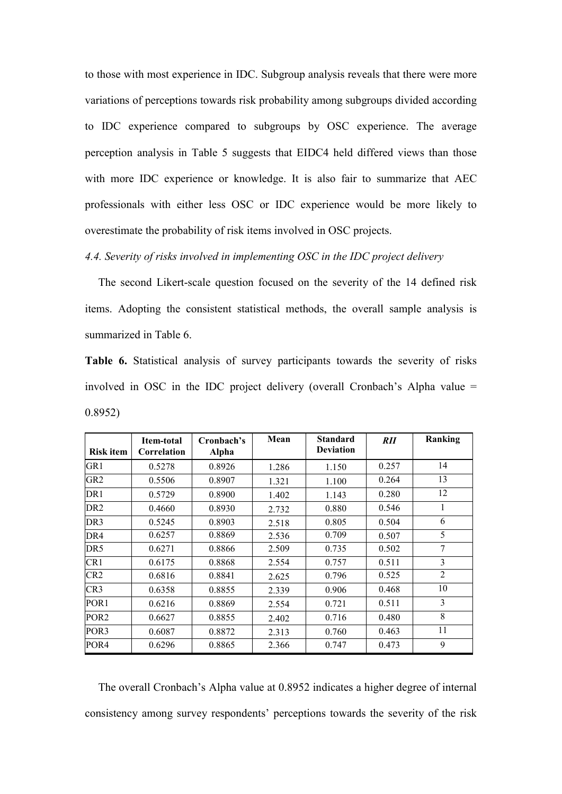to those with most experience in IDC. Subgroup analysis reveals that there were more variations of perceptions towards risk probability among subgroups divided according to IDC experience compared to subgroups by OSC experience. The average perception analysis in Table 5 suggests that EIDC4 held differed views than those with more IDC experience or knowledge. It is also fair to summarize that AEC professionals with either less OSC or IDC experience would be more likely to overestimate the probability of risk items involved in OSC projects.

*4.4. Severity of risks involved in implementing OSC in the IDC project delivery* 

The second Likert-scale question focused on the severity of the 14 defined risk items. Adopting the consistent statistical methods, the overall sample analysis is summarized in Table 6.

**Table 6.** Statistical analysis of survey participants towards the severity of risks involved in OSC in the IDC project delivery (overall Cronbach's Alpha value = 0.8952)

| <b>Risk item</b> | Item-total<br>Correlation | Cronbach's<br>Alpha | Mean  | <b>Standard</b><br><b>Deviation</b> | <i>RII</i> | Ranking        |
|------------------|---------------------------|---------------------|-------|-------------------------------------|------------|----------------|
| GR1              | 0.5278                    | 0.8926              | 1.286 | 1.150                               | 0.257      | 14             |
| GR <sub>2</sub>  | 0.5506                    | 0.8907              | 1.321 | 1.100                               | 0.264      | 13             |
| DR <sub>1</sub>  | 0.5729                    | 0.8900              | 1.402 | 1.143                               | 0.280      | 12             |
| DR <sub>2</sub>  | 0.4660                    | 0.8930              | 2.732 | 0.880                               | 0.546      | 1              |
| DR <sub>3</sub>  | 0.5245                    | 0.8903              | 2.518 | 0.805                               | 0.504      | 6              |
| DR <sub>4</sub>  | 0.6257                    | 0.8869              | 2.536 | 0.709                               | 0.507      | 5              |
| DR5              | 0.6271                    | 0.8866              | 2.509 | 0.735                               | 0.502      | 7              |
| CR <sub>1</sub>  | 0.6175                    | 0.8868              | 2.554 | 0.757                               | 0.511      | 3              |
| CR <sub>2</sub>  | 0.6816                    | 0.8841              | 2.625 | 0.796                               | 0.525      | $\overline{2}$ |
| CR3              | 0.6358                    | 0.8855              | 2.339 | 0.906                               | 0.468      | 10             |
| POR <sub>1</sub> | 0.6216                    | 0.8869              | 2.554 | 0.721                               | 0.511      | 3              |
| POR <sub>2</sub> | 0.6627                    | 0.8855              | 2.402 | 0.716                               | 0.480      | 8              |
| POR3             | 0.6087                    | 0.8872              | 2.313 | 0.760                               | 0.463      | 11             |
| POR <sub>4</sub> | 0.6296                    | 0.8865              | 2.366 | 0.747                               | 0.473      | 9              |

The overall Cronbach's Alpha value at 0.8952 indicates a higher degree of internal consistency among survey respondents' perceptions towards the severity of the risk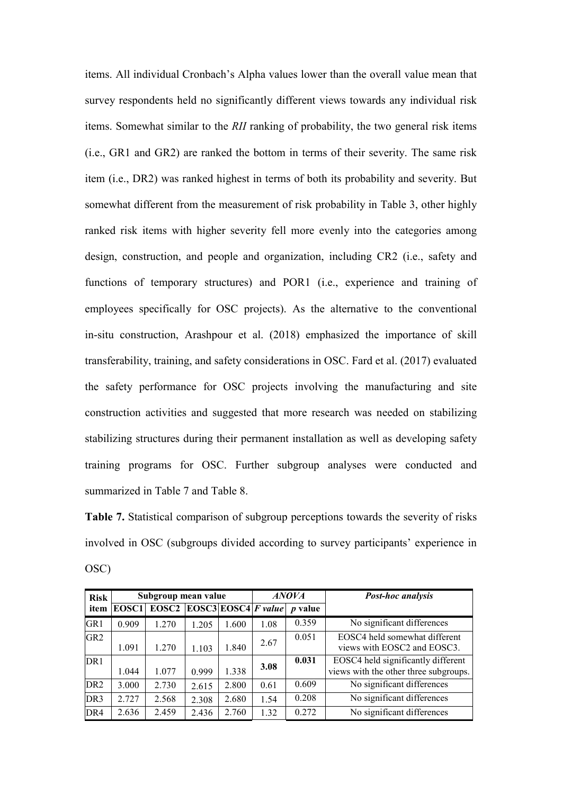items. All individual Cronbach's Alpha values lower than the overall value mean that survey respondents held no significantly different views towards any individual risk items. Somewhat similar to the *RII* ranking of probability, the two general risk items (i.e., GR1 and GR2) are ranked the bottom in terms of their severity. The same risk item (i.e., DR2) was ranked highest in terms of both its probability and severity. But somewhat different from the measurement of risk probability in Table 3, other highly ranked risk items with higher severity fell more evenly into the categories among design, construction, and people and organization, including CR2 (i.e., safety and functions of temporary structures) and POR1 (i.e., experience and training of employees specifically for OSC projects). As the alternative to the conventional in-situ construction, Arashpour et al. (2018) emphasized the importance of skill transferability, training, and safety considerations in OSC. Fard et al. (2017) evaluated the safety performance for OSC projects involving the manufacturing and site construction activities and suggested that more research was needed on stabilizing stabilizing structures during their permanent installation as well as developing safety training programs for OSC. Further subgroup analyses were conducted and summarized in Table 7 and Table 8.

**Table 7.** Statistical comparison of subgroup perceptions towards the severity of risks involved in OSC (subgroups divided according to survey participants' experience in OSC)

| <b>Risk</b>     |       | Subgroup mean value |       |       |                                     | <b>ANOVA</b>   | <b>Post-hoc analysis</b>                                                    |
|-----------------|-------|---------------------|-------|-------|-------------------------------------|----------------|-----------------------------------------------------------------------------|
| item            | EOSC1 | EOSC2               |       |       | $\text{EOSC3}$ EOSC4 <i>F value</i> | <i>p</i> value |                                                                             |
| GR <sub>1</sub> | 0.909 | 1.270               | 1.205 | 1.600 | 1.08                                | 0.359          | No significant differences                                                  |
| GR <sub>2</sub> | 1.091 | 1.270               | 1.103 | 1.840 | 2.67                                | 0.051          | EOSC4 held somewhat different<br>views with EOSC2 and EOSC3.                |
| DR <sub>1</sub> | 1.044 | 1.077               | 0.999 | 1.338 | 3.08                                | 0.031          | EOSC4 held significantly different<br>views with the other three subgroups. |
| DR <sub>2</sub> | 3.000 | 2.730               | 2.615 | 2.800 | 0.61                                | 0.609          | No significant differences                                                  |
| DR <sub>3</sub> | 2.727 | 2.568               | 2.308 | 2.680 | 1.54                                | 0.208          | No significant differences                                                  |
| DR <sub>4</sub> | 2.636 | 2.459               | 2.436 | 2.760 | 1.32                                | 0.272          | No significant differences                                                  |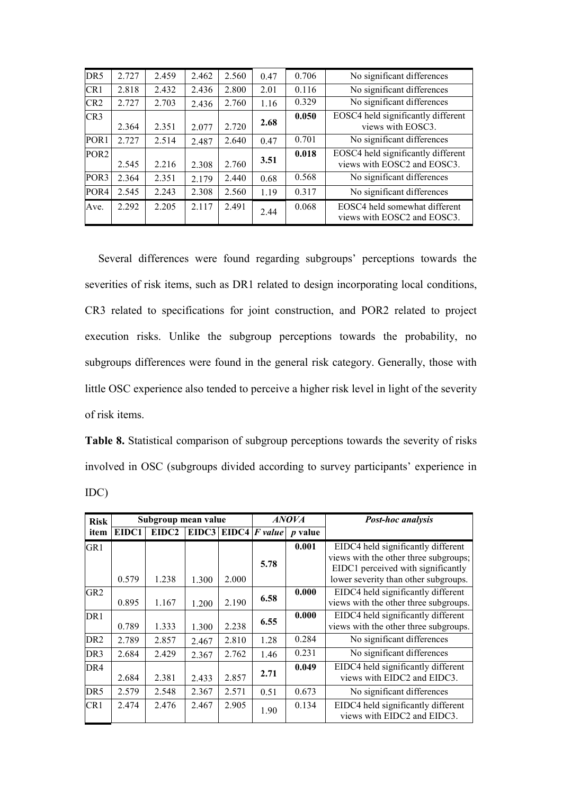| DR5              | 2.727 | 2.459 | 2.462 | 2.560 | 0.47 | 0.706 | No significant differences                                        |
|------------------|-------|-------|-------|-------|------|-------|-------------------------------------------------------------------|
| CR1              | 2.818 | 2.432 | 2.436 | 2.800 | 2.01 | 0.116 | No significant differences                                        |
| CR <sub>2</sub>  | 2.727 | 2.703 | 2.436 | 2.760 | 1.16 | 0.329 | No significant differences                                        |
| CR <sub>3</sub>  | 2.364 | 2.351 | 2.077 | 2.720 | 2.68 | 0.050 | EOSC4 held significantly different<br>views with EOSC3.           |
| POR <sub>1</sub> | 2.727 | 2.514 | 2.487 | 2.640 | 0.47 | 0.701 | No significant differences                                        |
| POR <sub>2</sub> | 2.545 | 2.216 | 2.308 | 2.760 | 3.51 | 0.018 | EOSC4 held significantly different<br>views with EOSC2 and EOSC3. |
| POR <sub>3</sub> | 2.364 | 2.351 | 2.179 | 2.440 | 0.68 | 0.568 | No significant differences                                        |
| POR <sub>4</sub> | 2.545 | 2.243 | 2.308 | 2.560 | 1.19 | 0.317 | No significant differences                                        |
| Ave.             | 2.292 | 2.205 | 2.117 | 2.491 | 2.44 | 0.068 | EOSC4 held somewhat different<br>views with EOSC2 and EOSC3.      |

Several differences were found regarding subgroups' perceptions towards the severities of risk items, such as DR1 related to design incorporating local conditions, CR3 related to specifications for joint construction, and POR2 related to project execution risks. Unlike the subgroup perceptions towards the probability, no subgroups differences were found in the general risk category. Generally, those with little OSC experience also tended to perceive a higher risk level in light of the severity of risk items.

**Table 8.** Statistical comparison of subgroup perceptions towards the severity of risks involved in OSC (subgroups divided according to survey participants' experience in IDC)

| <b>Risk</b>     |       | Subgroup mean value |       |       |                         | <b>ANOVA</b>   | Post-hoc analysis                                                                                                                                         |  |
|-----------------|-------|---------------------|-------|-------|-------------------------|----------------|-----------------------------------------------------------------------------------------------------------------------------------------------------------|--|
| item            | EIDC1 | EIDC2               |       |       | EIDC3   EIDC4   F value | <i>p</i> value |                                                                                                                                                           |  |
| GR1             | 0.579 | 1.238               | 1.300 | 2.000 | 5.78                    | 0.001          | EIDC4 held significantly different<br>views with the other three subgroups;<br>EIDC1 perceived with significantly<br>lower severity than other subgroups. |  |
| GR2             | 0.895 | 1.167               | 1.200 | 2.190 | 6.58                    | 0.000          | EIDC4 held significantly different<br>views with the other three subgroups.                                                                               |  |
| DR <sub>1</sub> | 0.789 | 1.333               | 1.300 | 2.238 | 6.55                    | 0.000          | EIDC4 held significantly different<br>views with the other three subgroups.                                                                               |  |
| DR <sub>2</sub> | 2.789 | 2.857               | 2.467 | 2.810 | 1.28                    | 0.284          | No significant differences                                                                                                                                |  |
| DR3             | 2.684 | 2.429               | 2.367 | 2.762 | 1.46                    | 0.231          | No significant differences                                                                                                                                |  |
| DR4             | 2.684 | 2.381               | 2.433 | 2.857 | 2.71                    | 0.049          | EIDC4 held significantly different<br>views with EIDC2 and EIDC3.                                                                                         |  |
| DR <sub>5</sub> | 2.579 | 2.548               | 2.367 | 2.571 | 0.51                    | 0.673          | No significant differences                                                                                                                                |  |
| CR1             | 2.474 | 2.476               | 2.467 | 2.905 | 1.90                    | 0.134          | EIDC4 held significantly different<br>views with EIDC2 and EIDC3.                                                                                         |  |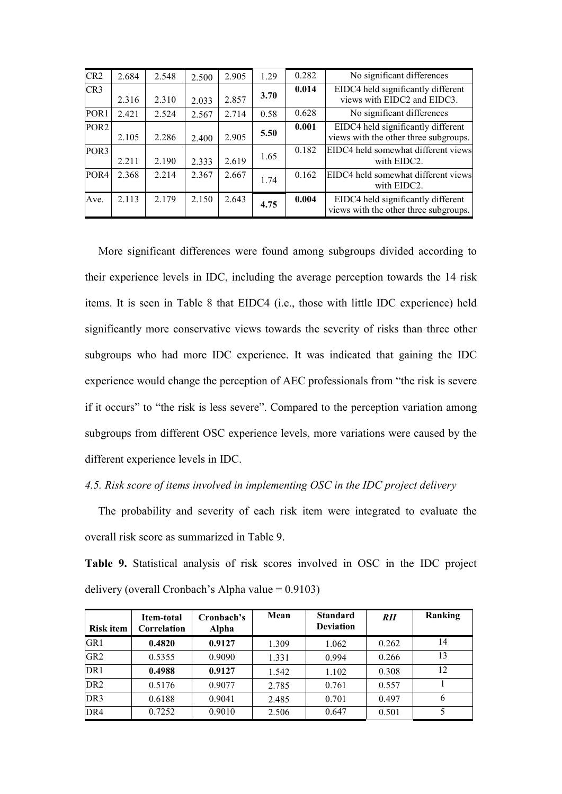| CR <sub>2</sub>  | 2.684 | 2.548 | 2.500 | 2.905 | 1.29 | 0.282 | No significant differences                                                  |  |
|------------------|-------|-------|-------|-------|------|-------|-----------------------------------------------------------------------------|--|
| CR3              | 2.316 | 2.310 | 2.033 | 2.857 | 3.70 | 0.014 | EIDC4 held significantly different<br>views with EIDC2 and EIDC3.           |  |
| POR <sub>1</sub> | 2.421 | 2.524 | 2.567 | 2.714 | 0.58 | 0.628 | No significant differences                                                  |  |
| POR <sub>2</sub> | 2.105 | 2.286 | 2.400 | 2.905 | 5.50 | 0.001 | EIDC4 held significantly different<br>views with the other three subgroups. |  |
| POR <sub>3</sub> | 2.211 | 2.190 | 2.333 | 2.619 | 1.65 | 0.182 | EIDC4 held somewhat different views<br>with EIDC2.                          |  |
| POR <sub>4</sub> | 2.368 | 2.214 | 2.367 | 2.667 | 1.74 | 0.162 | EIDC4 held somewhat different views<br>with EIDC2.                          |  |
| Ave.             | 2.113 | 2.179 | 2.150 | 2.643 | 4.75 | 0.004 | EIDC4 held significantly different<br>views with the other three subgroups. |  |

More significant differences were found among subgroups divided according to their experience levels in IDC, including the average perception towards the 14 risk items. It is seen in Table 8 that EIDC4 (i.e., those with little IDC experience) held significantly more conservative views towards the severity of risks than three other subgroups who had more IDC experience. It was indicated that gaining the IDC experience would change the perception of AEC professionals from "the risk is severe if it occurs" to "the risk is less severe". Compared to the perception variation among subgroups from different OSC experience levels, more variations were caused by the different experience levels in IDC.

## *4.5. Risk score of items involved in implementing OSC in the IDC project delivery*

The probability and severity of each risk item were integrated to evaluate the overall risk score as summarized in Table 9.

**Table 9.** Statistical analysis of risk scores involved in OSC in the IDC project delivery (overall Cronbach's Alpha value  $= 0.9103$ )

| <b>Risk item</b> | Item-total<br>Correlation | Cronbach's<br>Alpha | Mean  | <b>Standard</b><br><b>Deviation</b> | <b>RII</b> | Ranking |
|------------------|---------------------------|---------------------|-------|-------------------------------------|------------|---------|
| GR <sub>1</sub>  | 0.4820                    | 0.9127              | 1.309 | 1.062                               | 0.262      | 14      |
| GR <sub>2</sub>  | 0.5355                    | 0.9090              | 1.331 | 0.994                               | 0.266      | 13      |
| DR <sub>1</sub>  | 0.4988                    | 0.9127              | 1.542 | 1.102                               | 0.308      | 12      |
| DR <sub>2</sub>  | 0.5176                    | 0.9077              | 2.785 | 0.761                               | 0.557      |         |
| DR <sub>3</sub>  | 0.6188                    | 0.9041              | 2.485 | 0.701                               | 0.497      | 6       |
| DR4              | 0.7252                    | 0.9010              | 2.506 | 0.647                               | 0.501      |         |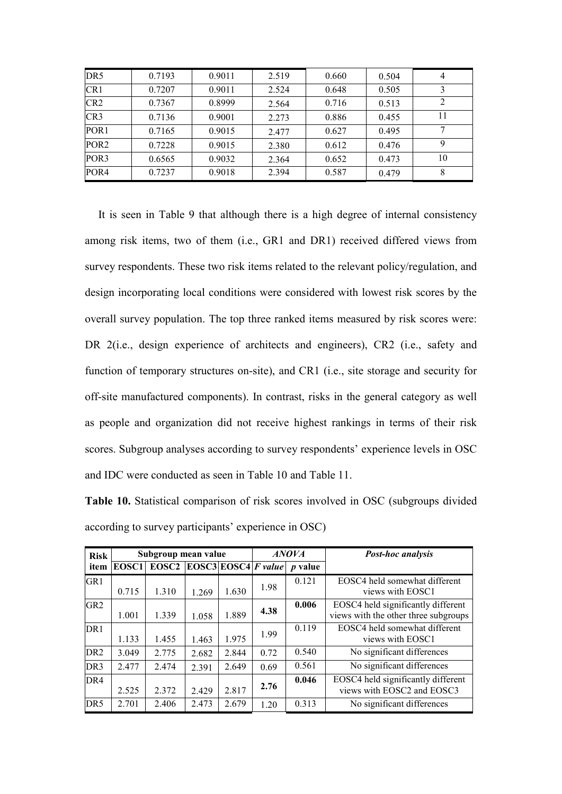| DR <sub>5</sub>  | 0.7193 | 0.9011 | 2.519 | 0.660 | 0.504 | 4  |
|------------------|--------|--------|-------|-------|-------|----|
| CR1              | 0.7207 | 0.9011 | 2.524 | 0.648 | 0.505 |    |
| CR <sub>2</sub>  | 0.7367 | 0.8999 | 2.564 | 0.716 | 0.513 |    |
| CR <sub>3</sub>  | 0.7136 | 0.9001 | 2.273 | 0.886 | 0.455 |    |
| POR <sub>1</sub> | 0.7165 | 0.9015 | 2.477 | 0.627 | 0.495 |    |
| POR <sub>2</sub> | 0.7228 | 0.9015 | 2.380 | 0.612 | 0.476 | 9  |
| POR <sub>3</sub> | 0.6565 | 0.9032 | 2.364 | 0.652 | 0.473 | 10 |
| POR <sub>4</sub> | 0.7237 | 0.9018 | 2.394 | 0.587 | 0.479 |    |

It is seen in Table 9 that although there is a high degree of internal consistency among risk items, two of them (i.e., GR1 and DR1) received differed views from survey respondents. These two risk items related to the relevant policy/regulation, and design incorporating local conditions were considered with lowest risk scores by the overall survey population. The top three ranked items measured by risk scores were: DR 2(i.e., design experience of architects and engineers), CR2 (i.e., safety and function of temporary structures on-site), and CR1 (i.e., site storage and security for off-site manufactured components). In contrast, risks in the general category as well as people and organization did not receive highest rankings in terms of their risk scores. Subgroup analyses according to survey respondents' experience levels in OSC and IDC were conducted as seen in Table 10 and Table 11.

**Table 10.** Statistical comparison of risk scores involved in OSC (subgroups divided according to survey participants' experience in OSC)

| <b>Risk</b>     |       | Subgroup mean value |       |       |                                     | <b>ANOVA</b>   | Post-hoc analysis                                                          |  |
|-----------------|-------|---------------------|-------|-------|-------------------------------------|----------------|----------------------------------------------------------------------------|--|
| item            | EOSC1 | EOSC2               |       |       | $\text{EOSC3}$ EOSC4 <i>F value</i> | <i>p</i> value |                                                                            |  |
| GR <sub>1</sub> | 0.715 | 1.310               | 1.269 | 1.630 | 1.98                                | 0.121          | EOSC4 held somewhat different<br>views with EOSC1                          |  |
| GR <sub>2</sub> | 1.001 | 1.339               | 1.058 | 1.889 | 4.38                                | 0.006          | EOSC4 held significantly different<br>views with the other three subgroups |  |
| DR <sub>1</sub> | 1.133 | 1.455               | 1.463 | 1.975 | 1.99                                | 0.119          | EOSC4 held somewhat different<br>views with EOSC1                          |  |
| DR <sub>2</sub> | 3.049 | 2.775               | 2.682 | 2.844 | 0.72                                | 0.540          | No significant differences                                                 |  |
| DR <sub>3</sub> | 2.477 | 2.474               | 2.391 | 2.649 | 0.69                                | 0.561          | No significant differences                                                 |  |
| DR4             | 2.525 | 2.372               | 2.429 | 2.817 | 2.76                                | 0.046          | EOSC4 held significantly different<br>views with EOSC2 and EOSC3           |  |
| DR <sub>5</sub> | 2.701 | 2.406               | 2.473 | 2.679 | 1.20                                | 0.313          | No significant differences                                                 |  |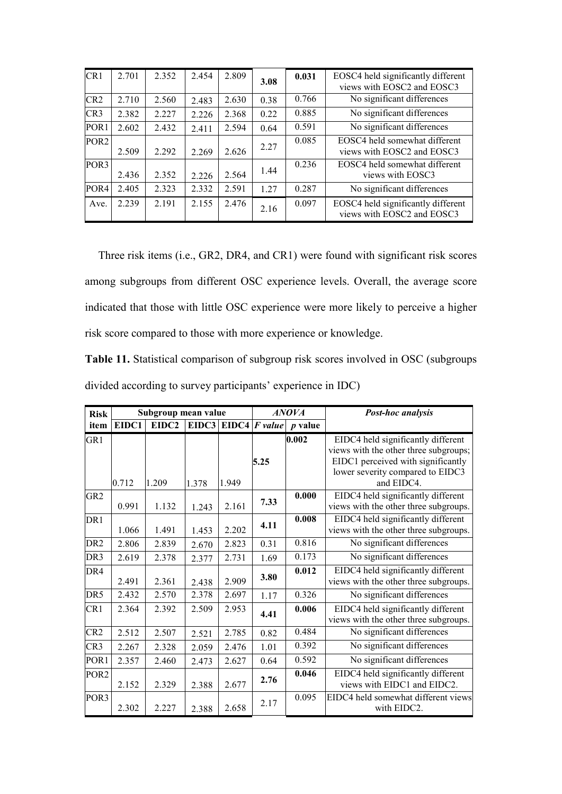| CR1              | 2.701 | 2.352 | 2.454 | 2.809 | 3.08 | 0.031 | EOSC4 held significantly different<br>views with EOSC2 and EOSC3 |  |
|------------------|-------|-------|-------|-------|------|-------|------------------------------------------------------------------|--|
| CR <sub>2</sub>  | 2.710 | 2.560 | 2.483 | 2.630 | 0.38 | 0.766 | No significant differences                                       |  |
| CR <sub>3</sub>  | 2.382 | 2.227 | 2.226 | 2.368 | 0.22 | 0.885 | No significant differences                                       |  |
| POR <sub>1</sub> | 2.602 | 2.432 | 2.411 | 2.594 | 0.64 | 0.591 | No significant differences                                       |  |
| POR <sub>2</sub> | 2.509 | 2.292 | 2.269 | 2.626 | 2.27 | 0.085 | EOSC4 held somewhat different<br>views with EOSC2 and EOSC3      |  |
| POR <sub>3</sub> | 2.436 | 2.352 | 2.226 | 2.564 | 1.44 | 0.236 | EOSC4 held somewhat different<br>views with EOSC3                |  |
| POR <sub>4</sub> | 2.405 | 2.323 | 2.332 | 2.591 | 1.27 | 0.287 | No significant differences                                       |  |
| Ave.             | 2.239 | 2.191 | 2.155 | 2.476 | 2.16 | 0.097 | EOSC4 held significantly different<br>views with EOSC2 and EOSC3 |  |

Three risk items (i.e., GR2, DR4, and CR1) were found with significant risk scores among subgroups from different OSC experience levels. Overall, the average score indicated that those with little OSC experience were more likely to perceive a higher risk score compared to those with more experience or knowledge.

**Table 11.** Statistical comparison of subgroup risk scores involved in OSC (subgroups divided according to survey participants' experience in IDC)

| <b>Risk</b>      |       | Subgroup mean value |       |             |         | <b>ANOVA</b> | <b>Post-hoc analysis</b>                                                                                          |  |
|------------------|-------|---------------------|-------|-------------|---------|--------------|-------------------------------------------------------------------------------------------------------------------|--|
| item             | EIDC1 | EIDC2               |       | EIDC3 EIDC4 | F value | $p$ value    |                                                                                                                   |  |
| GR1              |       |                     |       |             | 5.25    | 0.002        | EIDC4 held significantly different<br>views with the other three subgroups;<br>EIDC1 perceived with significantly |  |
|                  | 0.712 | 1.209               | 1.378 | 1.949       |         |              | lower severity compared to EIDC3<br>and EIDC4.                                                                    |  |
| GR <sub>2</sub>  | 0.991 | 1.132               | 1.243 | 2.161       | 7.33    | 0.000        | EIDC4 held significantly different<br>views with the other three subgroups.                                       |  |
| DR <sub>1</sub>  | 1.066 | 1.491               | 1.453 | 2.202       | 4.11    | 0.008        | EIDC4 held significantly different<br>views with the other three subgroups.                                       |  |
| DR <sub>2</sub>  | 2.806 | 2.839               | 2.670 | 2.823       | 0.31    | 0.816        | No significant differences                                                                                        |  |
| DR <sub>3</sub>  | 2.619 | 2.378               | 2.377 | 2.731       | 1.69    | 0.173        | No significant differences                                                                                        |  |
| DR4              | 2.491 | 2.361               | 2.438 | 2.909       | 3.80    | 0.012        | EIDC4 held significantly different<br>views with the other three subgroups.                                       |  |
| DR5              | 2.432 | 2.570               | 2.378 | 2.697       | 1.17    | 0.326        | No significant differences                                                                                        |  |
| CR1              | 2.364 | 2.392               | 2.509 | 2.953       | 4.41    | 0.006        | EIDC4 held significantly different<br>views with the other three subgroups.                                       |  |
| CR <sub>2</sub>  | 2.512 | 2.507               | 2.521 | 2.785       | 0.82    | 0.484        | No significant differences                                                                                        |  |
| CR <sub>3</sub>  | 2.267 | 2.328               | 2.059 | 2.476       | 1.01    | 0.392        | No significant differences                                                                                        |  |
| POR <sub>1</sub> | 2.357 | 2.460               | 2.473 | 2.627       | 0.64    | 0.592        | No significant differences                                                                                        |  |
| POR <sub>2</sub> | 2.152 | 2.329               | 2.388 | 2.677       | 2.76    | 0.046        | EIDC4 held significantly different<br>views with EIDC1 and EIDC2.                                                 |  |
| POR3             | 2.302 | 2.227               | 2.388 | 2.658       | 2.17    | 0.095        | EIDC4 held somewhat different views<br>with EIDC2.                                                                |  |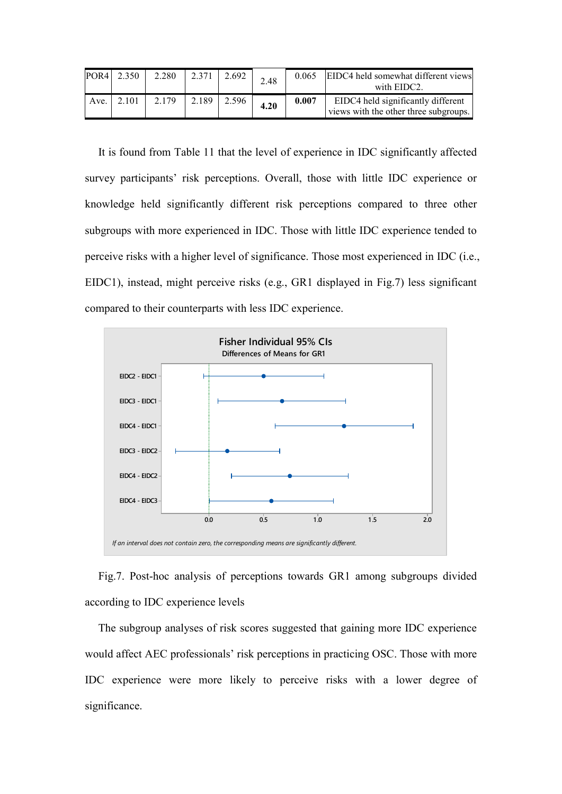|      | POR4 2.350     | 2.280 | 2.371 | 2.692 | 2.48 | 0.065 | EIDC4 held somewhat different views<br>with EIDC2.                          |
|------|----------------|-------|-------|-------|------|-------|-----------------------------------------------------------------------------|
| Ave. | $\sqrt{2.101}$ | 2.179 | 2.189 | 2.596 | 4.20 | 0.007 | EIDC4 held significantly different<br>views with the other three subgroups. |

It is found from Table 11 that the level of experience in IDC significantly affected survey participants' risk perceptions. Overall, those with little IDC experience or knowledge held significantly different risk perceptions compared to three other subgroups with more experienced in IDC. Those with little IDC experience tended to perceive risks with a higher level of significance. Those most experienced in IDC (i.e., EIDC1), instead, might perceive risks (e.g., GR1 displayed in Fig.7) less significant compared to their counterparts with less IDC experience.



Fig.7. Post-hoc analysis of perceptions towards GR1 among subgroups divided according to IDC experience levels

The subgroup analyses of risk scores suggested that gaining more IDC experience would affect AEC professionals' risk perceptions in practicing OSC. Those with more IDC experience were more likely to perceive risks with a lower degree of significance.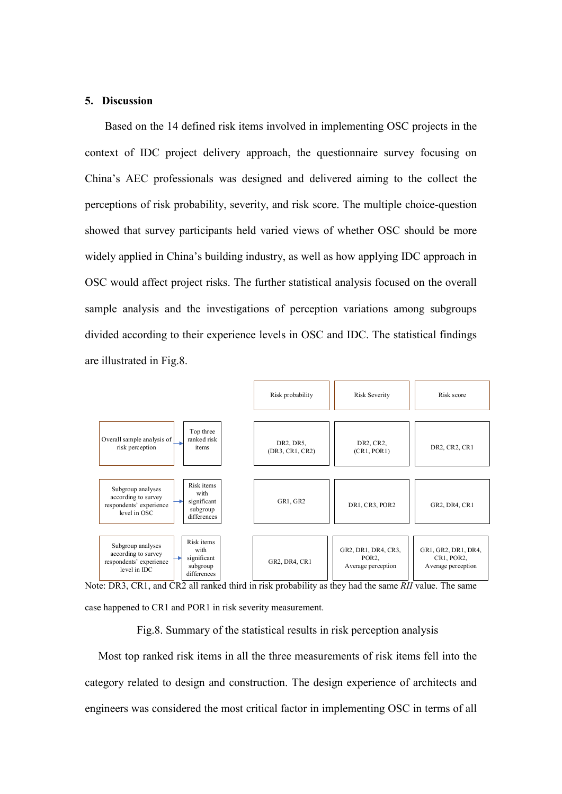## **5. Discussion**

Based on the 14 defined risk items involved in implementing OSC projects in the context of IDC project delivery approach, the questionnaire survey focusing on China's AEC professionals was designed and delivered aiming to the collect the perceptions of risk probability, severity, and risk score. The multiple choice-question showed that survey participants held varied views of whether OSC should be more widely applied in China's building industry, as well as how applying IDC approach in OSC would affect project risks. The further statistical analysis focused on the overall sample analysis and the investigations of perception variations among subgroups divided according to their experience levels in OSC and IDC. The statistical findings are illustrated in Fig.8.





Fig.8. Summary of the statistical results in risk perception analysis

Most top ranked risk items in all the three measurements of risk items fell into the category related to design and construction. The design experience of architects and engineers was considered the most critical factor in implementing OSC in terms of all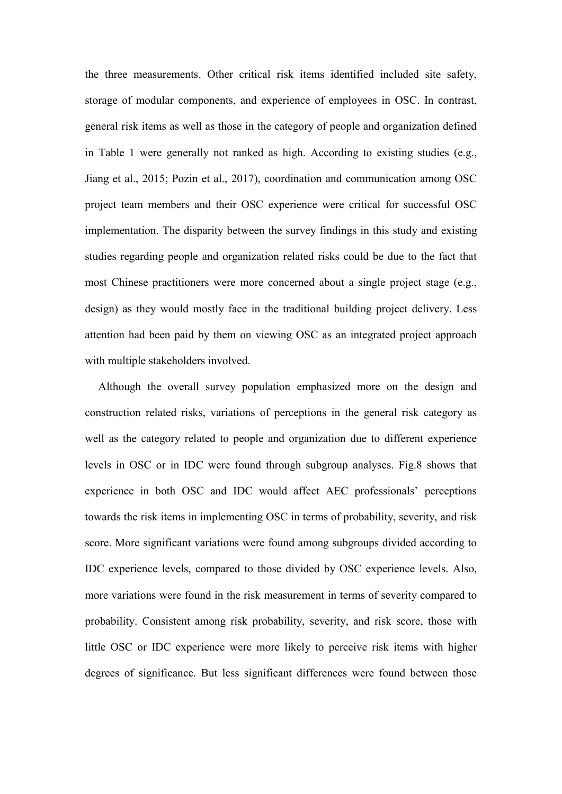the three measurements. Other critical risk items identified included site safety, storage of modular components, and experience of employees in OSC. In contrast, general risk items as well as those in the category of people and organization defined in Table 1 were generally not ranked as high. According to existing studies (e.g., Jiang et al., 2015; Pozin et al., 2017), coordination and communication among OSC project team members and their OSC experience were critical for successful OSC implementation. The disparity between the survey findings in this study and existing studies regarding people and organization related risks could be due to the fact that most Chinese practitioners were more concerned about a single project stage (e.g., design) as they would mostly face in the traditional building project delivery. Less attention had been paid by them on viewing OSC as an integrated project approach with multiple stakeholders involved.

Although the overall survey population emphasized more on the design and construction related risks, variations of perceptions in the general risk category as well as the category related to people and organization due to different experience levels in OSC or in IDC were found through subgroup analyses. Fig.8 shows that experience in both OSC and IDC would affect AEC professionals' perceptions towards the risk items in implementing OSC in terms of probability, severity, and risk score. More significant variations were found among subgroups divided according to IDC experience levels, compared to those divided by OSC experience levels. Also, more variations were found in the risk measurement in terms of severity compared to probability. Consistent among risk probability, severity, and risk score, those with little OSC or IDC experience were more likely to perceive risk items with higher degrees of significance. But less significant differences were found between those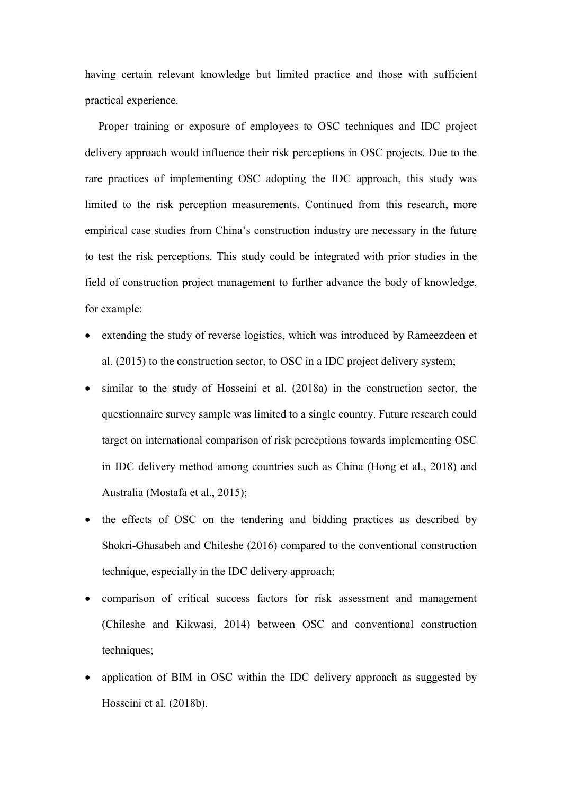having certain relevant knowledge but limited practice and those with sufficient practical experience.

Proper training or exposure of employees to OSC techniques and IDC project delivery approach would influence their risk perceptions in OSC projects. Due to the rare practices of implementing OSC adopting the IDC approach, this study was limited to the risk perception measurements. Continued from this research, more empirical case studies from China's construction industry are necessary in the future to test the risk perceptions. This study could be integrated with prior studies in the field of construction project management to further advance the body of knowledge, for example:

- extending the study of reverse logistics, which was introduced by Rameezdeen et al. (2015) to the construction sector, to OSC in a IDC project delivery system;
- similar to the study of Hosseini et al. (2018a) in the construction sector, the questionnaire survey sample was limited to a single country. Future research could target on international comparison of risk perceptions towards implementing OSC in IDC delivery method among countries such as China (Hong et al., 2018) and Australia (Mostafa et al., 2015);
- the effects of OSC on the tendering and bidding practices as described by Shokri-Ghasabeh and Chileshe (2016) compared to the conventional construction technique, especially in the IDC delivery approach;
- comparison of critical success factors for risk assessment and management (Chileshe and Kikwasi, 2014) between OSC and conventional construction techniques;
- application of BIM in OSC within the IDC delivery approach as suggested by Hosseini et al. (2018b).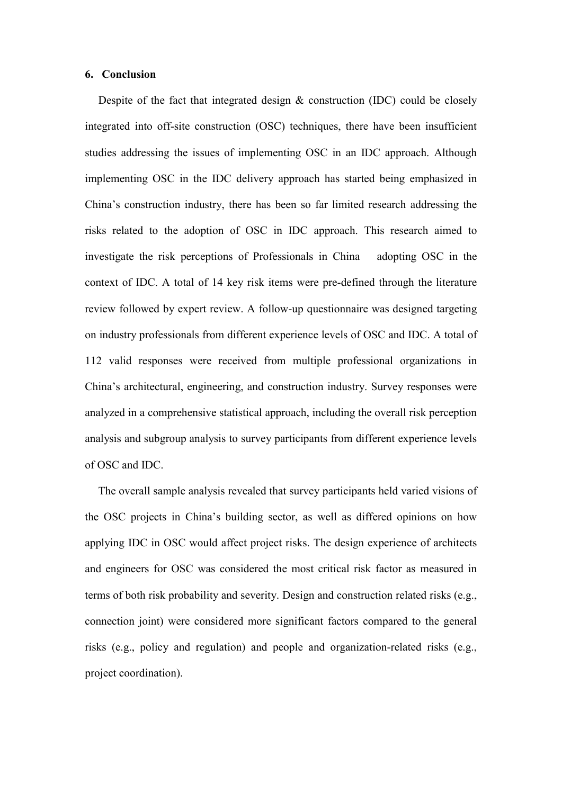### **6. Conclusion**

Despite of the fact that integrated design & construction (IDC) could be closely integrated into off-site construction (OSC) techniques, there have been insufficient studies addressing the issues of implementing OSC in an IDC approach. Although implementing OSC in the IDC delivery approach has started being emphasized in China's construction industry, there has been so far limited research addressing the risks related to the adoption of OSC in IDC approach. This research aimed to investigate the risk perceptions of Professionals in China adopting OSC in the context of IDC. A total of 14 key risk items were pre-defined through the literature review followed by expert review. A follow-up questionnaire was designed targeting on industry professionals from different experience levels of OSC and IDC. A total of 112 valid responses were received from multiple professional organizations in China's architectural, engineering, and construction industry. Survey responses were analyzed in a comprehensive statistical approach, including the overall risk perception analysis and subgroup analysis to survey participants from different experience levels of OSC and IDC.

The overall sample analysis revealed that survey participants held varied visions of the OSC projects in China's building sector, as well as differed opinions on how applying IDC in OSC would affect project risks. The design experience of architects and engineers for OSC was considered the most critical risk factor as measured in terms of both risk probability and severity. Design and construction related risks (e.g., connection joint) were considered more significant factors compared to the general risks (e.g., policy and regulation) and people and organization-related risks (e.g., project coordination).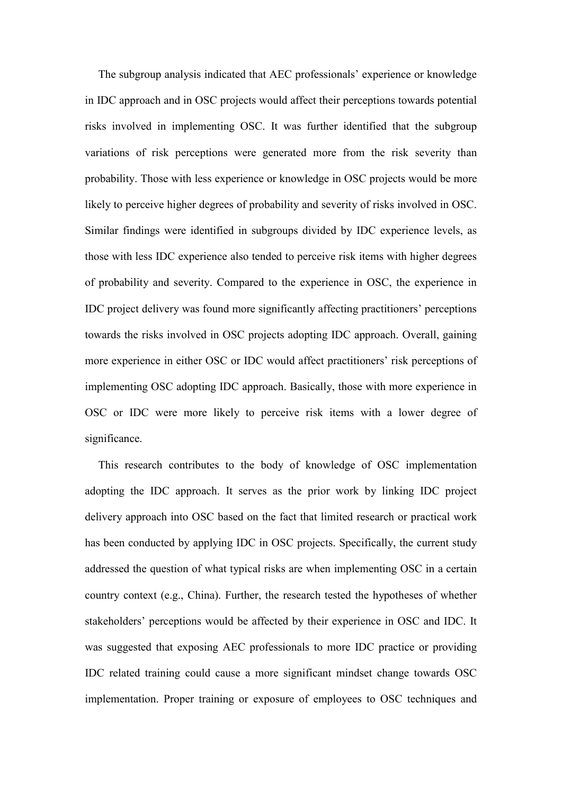The subgroup analysis indicated that AEC professionals' experience or knowledge in IDC approach and in OSC projects would affect their perceptions towards potential risks involved in implementing OSC. It was further identified that the subgroup variations of risk perceptions were generated more from the risk severity than probability. Those with less experience or knowledge in OSC projects would be more likely to perceive higher degrees of probability and severity of risks involved in OSC. Similar findings were identified in subgroups divided by IDC experience levels, as those with less IDC experience also tended to perceive risk items with higher degrees of probability and severity. Compared to the experience in OSC, the experience in IDC project delivery was found more significantly affecting practitioners' perceptions towards the risks involved in OSC projects adopting IDC approach. Overall, gaining more experience in either OSC or IDC would affect practitioners' risk perceptions of implementing OSC adopting IDC approach. Basically, those with more experience in OSC or IDC were more likely to perceive risk items with a lower degree of significance.

This research contributes to the body of knowledge of OSC implementation adopting the IDC approach. It serves as the prior work by linking IDC project delivery approach into OSC based on the fact that limited research or practical work has been conducted by applying IDC in OSC projects. Specifically, the current study addressed the question of what typical risks are when implementing OSC in a certain country context (e.g., China). Further, the research tested the hypotheses of whether stakeholders' perceptions would be affected by their experience in OSC and IDC. It was suggested that exposing AEC professionals to more IDC practice or providing IDC related training could cause a more significant mindset change towards OSC implementation. Proper training or exposure of employees to OSC techniques and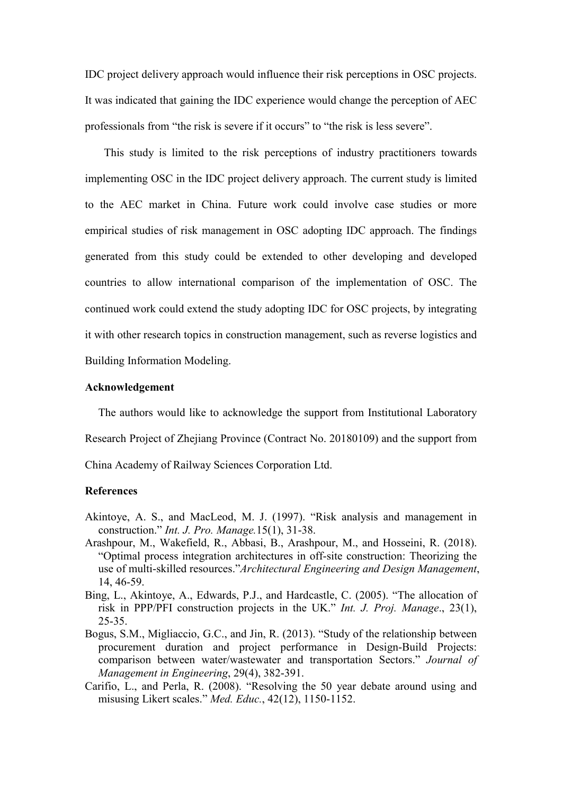IDC project delivery approach would influence their risk perceptions in OSC projects. It was indicated that gaining the IDC experience would change the perception of AEC professionals from "the risk is severe if it occurs" to "the risk is less severe".

This study is limited to the risk perceptions of industry practitioners towards implementing OSC in the IDC project delivery approach. The current study is limited to the AEC market in China. Future work could involve case studies or more empirical studies of risk management in OSC adopting IDC approach. The findings generated from this study could be extended to other developing and developed countries to allow international comparison of the implementation of OSC. The continued work could extend the study adopting IDC for OSC projects, by integrating it with other research topics in construction management, such as reverse logistics and Building Information Modeling.

#### **Acknowledgement**

The authors would like to acknowledge the support from Institutional Laboratory Research Project of Zhejiang Province (Contract No. 20180109) and the support from China Academy of Railway Sciences Corporation Ltd.

# **References**

- Akintoye, A. S., and MacLeod, M. J. (1997). "Risk analysis and management in construction." *Int. J. Pro. Manage.*15(1), 31-38.
- Arashpour, M., Wakefield, R., Abbasi, B., Arashpour, M., and Hosseini, R. (2018). "Optimal process integration architectures in off-site construction: Theorizing the use of multi-skilled resources."*Architectural Engineering and Design Management*, 14, 46-59.
- Bing, L., Akintoye, A., Edwards, P.J., and Hardcastle, C. (2005). "The allocation of risk in PPP/PFI construction projects in the UK." *Int. J. Proj. Manage*., 23(1), 25-35.
- Bogus, S.M., Migliaccio, G.C., and Jin, R. (2013). "Study of the relationship between procurement duration and project performance in Design-Build Projects: comparison between water/wastewater and transportation Sectors." *Journal of Management in Engineering*, 29(4), 382-391.
- Carifio, L., and Perla, R. (2008). "Resolving the 50 year debate around using and misusing Likert scales." *Med. Educ.*, 42(12), 1150-1152.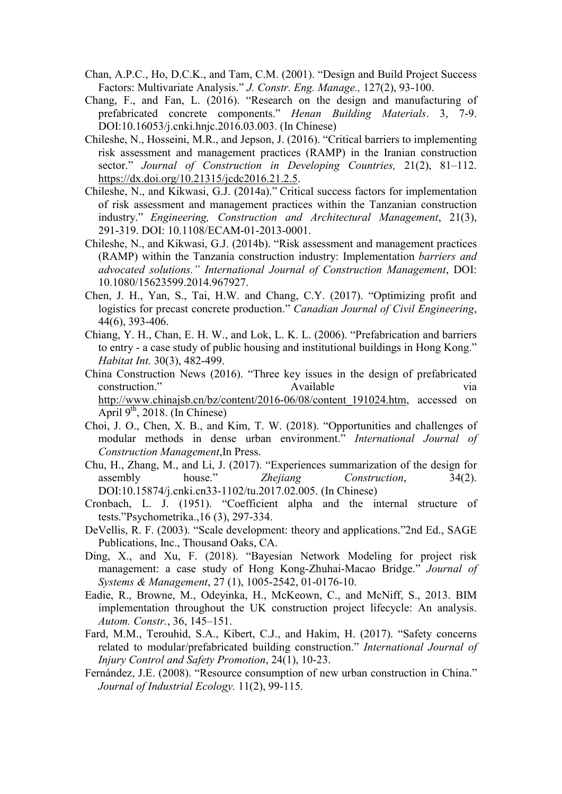- Chan, A.P.C., Ho, D.C.K., and Tam, C.M. (2001). "Design and Build Project Success Factors: Multivariate Analysis." *J. Constr. Eng. Manage.,* 127(2), 93-100.
- Chang, F., and Fan, L. (2016). "Research on the design and manufacturing of prefabricated concrete components." *Henan Building Materials*. 3, 7-9. DOI:10.16053/j.cnki.hnjc.2016.03.003. (In Chinese)
- Chileshe, N., Hosseini, M.R., and Jepson, J. (2016). "Critical barriers to implementing risk assessment and management practices (RAMP) in the Iranian construction sector." *Journal of Construction in Developing Countries,* 21(2), 81–112. <https://dx.doi.org/10.21315/jcdc2016.21.2.5>.
- Chileshe, N., and Kikwasi, G.J. (2014a)." Critical success factors for implementation of risk assessment and management practices within the Tanzanian construction industry." *Engineering, Construction and Architectural Management*, 21(3), 291-319. DOI: 10.1108/ECAM-01-2013-0001.
- Chileshe, N., and Kikwasi, G.J. (2014b). "Risk assessment and management practices (RAMP) within the Tanzania construction industry: Implementation *barriers and advocated solutions." International Journal of Construction Management*, DOI: 10.1080/15623599.2014.967927.
- Chen, J. H., Yan, S., Tai, H.W. and Chang, C.Y. (2017). "Optimizing profit and logistics for precast concrete production." *Canadian Journal of Civil Engineering*, 44(6), 393-406.
- Chiang, Y. H., Chan, E. H. W., and Lok, L. K. L. (2006). "Prefabrication and barriers to entry - a case study of public housing and institutional buildings in Hong Kong." *Habitat Int.* 30(3), 482-499.
- China Construction News (2016). "Three key issues in the design of prefabricated construction." Available via [http://www.chinajsb.cn/bz/content/2016-06/08/content\\_191024.htm](http://www.chinajsb.cn/bz/content/2016-06/08/content_191024.htm), accessed on April  $9<sup>th</sup>$ , 2018. (In Chinese)
- Choi, J. O., Chen, X. B., and Kim, T. W. (2018). "Opportunities and challenges of modular methods in dense urban environment." *International Journal of Construction Management*,In Press.
- Chu, H., Zhang, M., and Li, J. (2017). "Experiences summarization of the design for assembly house." *Zhejiang Construction*, 34(2). DOI:10.15874/j.cnki.cn33-1102/tu.2017.02.005. (In Chinese)
- Cronbach, L. J. (1951). "Coefficient alpha and the internal structure of tests."Psychometrika.,16 (3), 297-334.
- DeVellis, R. F. (2003). "Scale development: theory and applications."2nd Ed., SAGE Publications, Inc., Thousand Oaks, CA.
- Ding, X., and Xu, F. (2018). "Bayesian Network Modeling for project risk management: a case study of Hong Kong-Zhuhai-Macao Bridge." *Journal of Systems & Management*, 27 (1), 1005-2542, 01-0176-10.
- Eadie, R., Browne, M., Odeyinka, H., McKeown, C., and McNiff, S., 2013. BIM implementation throughout the UK construction project lifecycle: An analysis. *Autom. Constr.*, 36, 145–151.
- Fard, M.M., Terouhid, S.A., Kibert, C.J., and Hakim, H. (2017). "Safety concerns related to modular/prefabricated building construction." *International Journal of Injury Control and Safety Promotion*, 24(1), 10-23.
- Fernández, J.E. (2008). "Resource consumption of new urban construction in China." *Journal of Industrial Ecology.* 11(2), 99-115.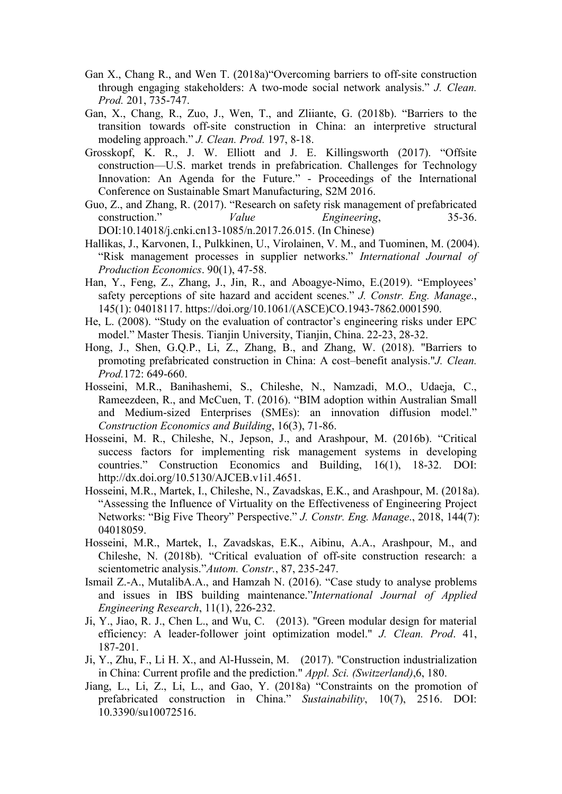- Gan X., Chang R., and Wen T. (2018a)"Overcoming barriers to off-site construction through engaging stakeholders: A two-mode social network analysis." *J. Clean. Prod.* 201, 735-747.
- Gan, X., Chang, R., Zuo, J., Wen, T., and Zliiante, G. (2018b). "Barriers to the transition towards off-site construction in China: an interpretive structural modeling approach." *J. Clean. Prod.* 197, 8-18.
- Grosskopf, K. R., J. W. Elliott and J. E. Killingsworth (2017). "Offsite construction—U.S. market trends in prefabrication. Challenges for Technology Innovation: An Agenda for the Future." - Proceedings of the International Conference on Sustainable Smart Manufacturing, S2M 2016.
- Guo, Z., and Zhang, R. (2017). "Research on safety risk management of prefabricated construction." *Value Engineering*, 35-36. DOI:10.14018/j.cnki.cn13-1085/n.2017.26.015. (In Chinese)
- Hallikas, J., Karvonen, I., Pulkkinen, U., Virolainen, V. M., and Tuominen, M. (2004). "Risk management processes in supplier networks." *International Journal of Production Economics*. 90(1), 47-58.
- Han, Y., Feng, Z., Zhang, J., Jin, R., and Aboagye-Nimo, E.(2019). "Employees' safety perceptions of site hazard and accident scenes." *J. Constr. Eng. Manage*., 145(1): 04018117. https://doi.org/10.1061/(ASCE)CO.1943-7862.0001590.
- He, L. (2008). "Study on the evaluation of contractor's engineering risks under EPC model." Master Thesis. Tianjin University, Tianjin, China. 22-23, 28-32.
- Hong, J., Shen, G.Q.P., Li, Z., Zhang, B., and Zhang, W. (2018). "Barriers to promoting prefabricated construction in China: A cost–benefit analysis."*J. Clean. Prod.*172: 649-660.
- Hosseini, M.R., Banihashemi, S., Chileshe, N., Namzadi, M.O., Udaeja, C., Rameezdeen, R., and McCuen, T. (2016). "BIM adoption within Australian Small and Medium-sized Enterprises (SMEs): an innovation diffusion model." *Construction Economics and Building*, 16(3), 71-86.
- Hosseini, M. R., Chileshe, N., Jepson, J., and Arashpour, M. (2016b). "Critical success factors for implementing risk management systems in developing countries." Construction Economics and Building, 16(1), 18-32. DOI: http://dx.doi.org/10.5130/AJCEB.v1i1.4651.
- Hosseini, M.R., Martek, I., Chileshe, N., Zavadskas, E.K., and Arashpour, M. (2018a). "Assessing the Influence of Virtuality on the Effectiveness of Engineering Project Networks: "Big Five Theory" Perspective." *J. Constr. Eng. Manage*., 2018, 144(7): 04018059.
- Hosseini, M.R., Martek, I., Zavadskas, E.K., Aibinu, A.A., Arashpour, M., and Chileshe, N. (2018b). "Critical evaluation of off-site construction research: a scientometric analysis."*Autom. Constr.*, 87, 235-247.
- Ismail Z.-A., MutalibA.A., and Hamzah N. (2016). "Case study to analyse problems and issues in IBS building maintenance."*International Journal of Applied Engineering Research*, 11(1), 226-232.
- Ji, Y., Jiao, R. J., Chen L., and Wu, C. (2013). "Green modular design for material efficiency: A leader-follower joint optimization model." *J. Clean. Prod*. 41, 187-201.
- Ji, Y., Zhu, F., Li H. X., and Al-Hussein, M. (2017). "Construction industrialization in China: Current profile and the prediction." *Appl. Sci. (Switzerland)*,6, 180.
- Jiang, L., Li, Z., Li, L., and Gao, Y. (2018a) "Constraints on the promotion of prefabricated construction in China." *Sustainability*, 10(7), 2516. DOI: 10.3390/su10072516.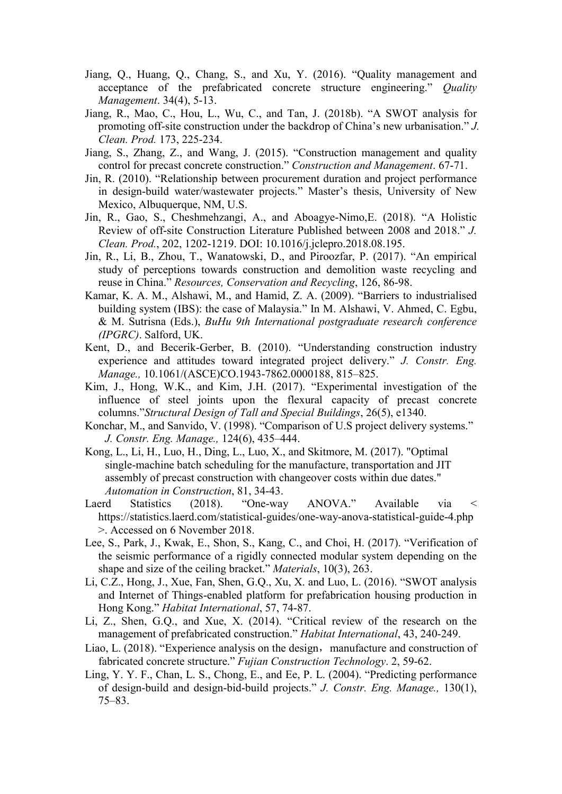- Jiang, Q., Huang, Q., Chang, S., and Xu, Y. (2016). "Quality management and acceptance of the prefabricated concrete structure engineering." *Quality Management*. 34(4), 5-13.
- Jiang, R., Mao, C., Hou, L., Wu, C., and Tan, J. (2018b). "A SWOT analysis for promoting off-site construction under the backdrop of China's new urbanisation." *J. Clean. Prod.* 173, 225-234.
- Jiang, S., Zhang, Z., and Wang, J. (2015). "Construction management and quality control for precast concrete construction." *Construction and Management*. 67-71.
- Jin, R. (2010). "Relationship between procurement duration and project performance in design-build water/wastewater projects." Master's thesis, University of New Mexico, Albuquerque, NM, U.S.
- Jin, R., Gao, S., Cheshmehzangi, A., and Aboagye-Nimo,E. (2018). "A Holistic Review of off-site Construction Literature Published between 2008 and 2018." *J. Clean. Prod.*, 202, 1202-1219. DOI: 10.1016/j.jclepro.2018.08.195.
- Jin, R., Li, B., Zhou, T., Wanatowski, D., and Piroozfar, P. (2017). "An empirical study of perceptions towards construction and demolition waste recycling and reuse in China." *Resources, Conservation and Recycling*, 126, 86-98.
- Kamar, K. A. M., Alshawi, M., and Hamid, Z. A. (2009). "Barriers to industrialised building system (IBS): the case of Malaysia." In M. Alshawi, V. Ahmed, C. Egbu, & M. Sutrisna (Eds.), *BuHu 9th International postgraduate research conference (IPGRC)*. Salford, UK.
- Kent, D., and Becerik-Gerber, B. (2010). "Understanding construction industry experience and attitudes toward integrated project delivery." *J. Constr. Eng. Manage.,* 10.1061/(ASCE)CO.1943-7862.0000188, 815–825.
- Kim, J., Hong, W.K., and Kim, J.H. (2017). "Experimental investigation of the influence of steel joints upon the flexural capacity of precast concrete columns."*Structural Design of Tall and Special Buildings*, 26(5), e1340.
- Konchar, M., and Sanvido, V. (1998). "Comparison of U.S project delivery systems." *J. Constr. Eng. Manage.,* 124(6), 435–444.
- Kong, L., Li, H., Luo, H., Ding, L., Luo, X., and Skitmore, M. (2017). "Optimal single-machine batch scheduling for the manufacture, transportation and JIT assembly of precast construction with changeover costs within due dates." *Automation in Construction*, 81, 34-43.
- Laerd Statistics (2018). "One-way ANOVA." Available via < https://statistics.laerd.com/statistical-guides/one-way-anova-statistical-guide-4.php >. Accessed on 6 November 2018.
- Lee, S., Park, J., Kwak, E., Shon, S., Kang, C., and Choi, H. (2017). "Verification of the seismic performance of a rigidly connected modular system depending on the shape and size of the ceiling bracket." *Materials*, 10(3), 263.
- Li, C.Z., Hong, J., Xue, Fan, Shen, G.Q., Xu, X. and Luo, L. (2016). "SWOT analysis and Internet of Things-enabled platform for prefabrication housing production in Hong Kong." *Habitat International*, 57, 74-87.
- Li, Z., Shen, G.Q., and Xue, X. (2014). "Critical review of the research on the management of prefabricated construction." *Habitat International*, 43, 240-249.
- Liao, L. (2018). "Experience analysis on the design, manufacture and construction of fabricated concrete structure." *Fujian Construction Technology*. 2, 59-62.
- Ling, Y. Y. F., Chan, L. S., Chong, E., and Ee, P. L. (2004). "Predicting performance of design-build and design-bid-build projects." *J. Constr. Eng. Manage.,* 130(1), 75–83.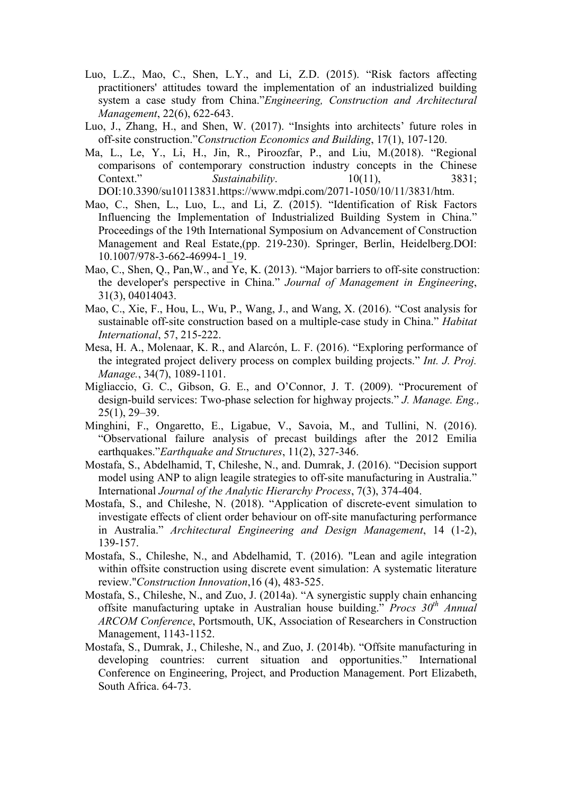- Luo, L.Z., Mao, C., Shen, L.Y., and Li, Z.D. (2015). "Risk factors affecting practitioners' attitudes toward the implementation of an industrialized building system a case study from China."*Engineering, Construction and Architectural Management*, 22(6), 622-643.
- Luo, J., Zhang, H., and Shen, W. (2017). "Insights into architects' future roles in off-site construction."*Construction Economics and Building*, 17(1), 107-120.
- Ma, L., Le, Y., Li, H., Jin, R., Piroozfar, P., and Liu, M.(2018). "Regional comparisons of contemporary construction industry concepts in the Chinese Context." *Sustainability*. 10(11), 3831; DOI:10.3390/su10113831.https://www.mdpi.com/2071-1050/10/11/3831/htm.
- Mao, C., Shen, L., Luo, L., and Li, Z. (2015). "Identification of Risk Factors Influencing the Implementation of Industrialized Building System in China." Proceedings of the 19th International Symposium on Advancement of Construction Management and Real Estate,(pp. 219-230). Springer, Berlin, Heidelberg.DOI: 10.1007/978-3-662-46994-1\_19.
- Mao, C., Shen, Q., Pan,W., and Ye, K. (2013). "Major barriers to off-site construction: the developer's perspective in China." *Journal of Management in Engineering*, 31(3), 04014043.
- Mao, C., Xie, F., Hou, L., Wu, P., Wang, J., and Wang, X. (2016). "Cost analysis for sustainable off-site construction based on a multiple-case study in China." *Habitat International*, 57, 215-222.
- Mesa, H. A., Molenaar, K. R., and Alarcón, L. F. (2016). "Exploring performance of the integrated project delivery process on complex building projects." *Int. J. Proj. Manage.*, 34(7), 1089-1101.
- Migliaccio, G. C., Gibson, G. E., and O'Connor, J. T. (2009). "Procurement of design-build services: Two-phase selection for highway projects." *J. Manage. Eng.,* 25(1), 29–39.
- Minghini, F., Ongaretto, E., Ligabue, V., Savoia, M., and Tullini, N. (2016). "Observational failure analysis of precast buildings after the 2012 Emilia earthquakes."*Earthquake and Structures*, 11(2), 327-346.
- Mostafa, S., Abdelhamid, T, Chileshe, N., and. Dumrak, J. (2016). "Decision support model using ANP to align leagile strategies to off-site manufacturing in Australia." International *Journal of the Analytic Hierarchy Process*, 7(3), 374-404.
- Mostafa, S., and Chileshe, N. (2018). "Application of discrete-event simulation to investigate effects of client order behaviour on off-site manufacturing performance in Australia." *Architectural Engineering and Design Management*, 14 (1-2), 139-157.
- Mostafa, S., Chileshe, N., and Abdelhamid, T. (2016). "Lean and agile integration within offsite construction using discrete event simulation: A systematic literature review."*Construction Innovation*,16 (4), 483-525.
- Mostafa, S., Chileshe, N., and Zuo, J. (2014a). "A synergistic supply chain enhancing offsite manufacturing uptake in Australian house building." *Procs 30th Annual ARCOM Conference*, Portsmouth, UK, Association of Researchers in Construction Management, 1143-1152.
- Mostafa, S., Dumrak, J., Chileshe, N., and Zuo, J. (2014b). "Offsite manufacturing in developing countries: current situation and opportunities." International Conference on Engineering, Project, and Production Management. Port Elizabeth, South Africa. 64-73.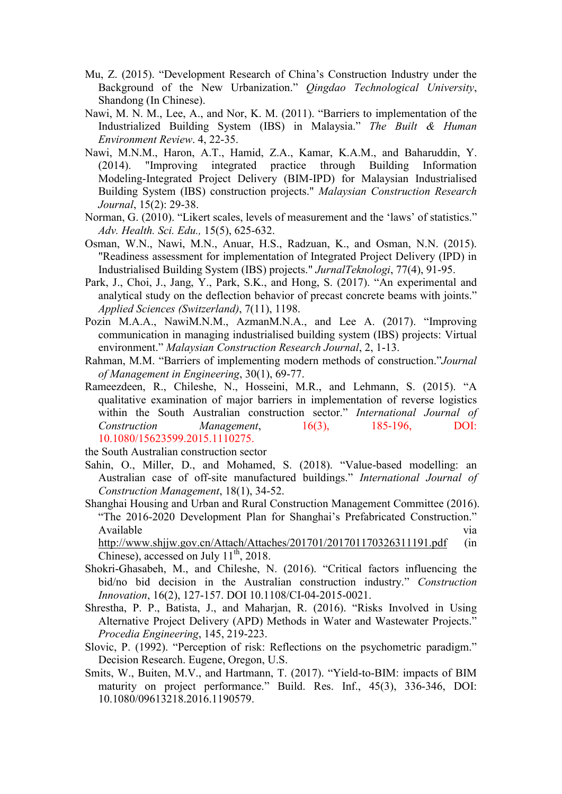- Mu, Z. (2015). "Development Research of China's Construction Industry under the Background of the New Urbanization." *Qingdao Technological University*, Shandong (In Chinese).
- Nawi, M. N. M., Lee, A., and Nor, K. M. (2011). "Barriers to implementation of the Industrialized Building System (IBS) in Malaysia." *The Built & Human Environment Review*. 4, 22-35.
- Nawi, M.N.M., Haron, A.T., Hamid, Z.A., Kamar, K.A.M., and Baharuddin, Y. (2014). "Improving integrated practice through Building Information Modeling-Integrated Project Delivery (BIM-IPD) for Malaysian Industrialised Building System (IBS) construction projects." *Malaysian Construction Research Journal*, 15(2): 29-38.
- Norman, G. (2010). "Likert scales, levels of measurement and the 'laws' of statistics." *Adv. Health. Sci. Edu.,* 15(5), 625-632.
- Osman, W.N., Nawi, M.N., Anuar, H.S., Radzuan, K., and Osman, N.N. (2015). "Readiness assessment for implementation of Integrated Project Delivery (IPD) in Industrialised Building System (IBS) projects." *JurnalTeknologi*, 77(4), 91-95.
- Park, J., Choi, J., Jang, Y., Park, S.K., and Hong, S. (2017). "An experimental and analytical study on the deflection behavior of precast concrete beams with joints." *Applied Sciences (Switzerland)*, 7(11), 1198.
- Pozin M.A.A., NawiM.N.M., AzmanM.N.A., and Lee A. (2017). "Improving communication in managing industrialised building system (IBS) projects: Virtual environment." *Malaysian Construction Research Journal*, 2, 1-13.
- Rahman, M.M. "Barriers of implementing modern methods of construction."*Journal of Management in Engineering*, 30(1), 69-77.
- Rameezdeen, R., Chileshe, N., Hosseini, M.R., and Lehmann, S. (2015). "A qualitative examination of major barriers in implementation of reverse logistics within the South Australian construction sector." *International Journal of Construction Management*, 16(3), 185-196, DOI: 10.1080/15623599.2015.1110275.

the South Australian construction sector

- Sahin, O., Miller, D., and Mohamed, S. (2018). "Value-based modelling: an Australian case of off-site manufactured buildings." *International Journal of Construction Management*, 18(1), 34-52.
- Shanghai Housing and Urban and Rural Construction Management Committee (2016). "The 2016-2020 Development Plan for Shanghai's Prefabricated Construction." Available via

http://www.shijw.gov.cn/Attach/Attaches/201701/201701170326311191.pdf (in Chinese), accessed on July  $11^{th}$ , 2018.

- Shokri-Ghasabeh, M., and Chileshe, N. (2016). "Critical factors influencing the bid/no bid decision in the Australian construction industry." *Construction Innovation*, 16(2), 127-157. DOI 10.1108/CI-04-2015-0021.
- Shrestha, P. P., Batista, J., and Maharjan, R. (2016). "Risks Involved in Using Alternative Project Delivery (APD) Methods in Water and Wastewater Projects." *Procedia Engineering*, 145, 219-223.
- Slovic, P. (1992). "Perception of risk: Reflections on the psychometric paradigm." Decision Research. Eugene, Oregon, U.S.
- Smits, W., Buiten, M.V., and Hartmann, T. (2017). "Yield-to-BIM: impacts of BIM maturity on project performance." Build. Res. Inf., 45(3), 336-346, DOI: 10.1080/09613218.2016.1190579.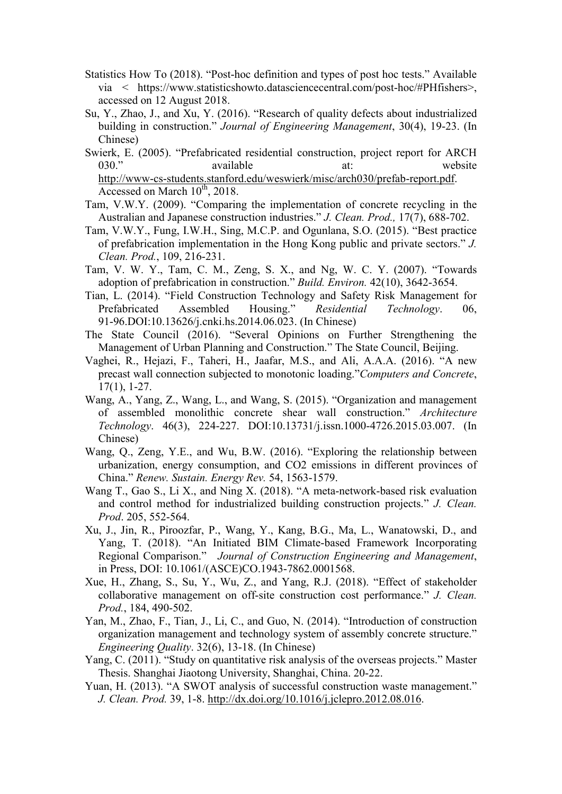- Statistics How To (2018). "Post-hoc definition and types of post hoc tests." Available via < https://www.statisticshowto.datasciencecentral.com/post-hoc/#PHfishers>, accessed on 12 August 2018.
- Su, Y., Zhao, J., and Xu, Y. (2016). "Research of quality defects about industrialized building in construction." *Journal of Engineering Management*, 30(4), 19-23. (In Chinese)
- Swierk, E. (2005). "Prefabricated residential construction, project report for ARCH 030." available at: website [http://www-cs-students.stanford.edu/weswierk/misc/arch030/prefab-report.pdf.](http://www-cs-students.stanford.edu/weswierk/misc/arch030/prefab-report.pdf) Accessed on March  $10^{th}$ , 2018.
- Tam, V.W.Y. (2009). "Comparing the implementation of concrete recycling in the Australian and Japanese construction industries." *J. Clean. Prod.,* 17(7), 688-702.
- Tam, V.W.Y., Fung, I.W.H., Sing, M.C.P. and Ogunlana, S.O. (2015). "Best practice of prefabrication implementation in the Hong Kong public and private sectors." *J. Clean. Prod.*, 109, 216-231.
- Tam, V. W. Y., Tam, C. M., Zeng, S. X., and Ng, W. C. Y. (2007). "Towards adoption of prefabrication in construction." *Build. Environ.* 42(10), 3642-3654.
- Tian, L. (2014). "Field Construction Technology and Safety Risk Management for Prefabricated Assembled Housing." *Residential Technology*. 06, 91-96.DOI:10.13626/j.cnki.hs.2014.06.023. (In Chinese)
- The State Council (2016). "Several Opinions on Further Strengthening the Management of Urban Planning and Construction." The State Council, Beijing.
- Vaghei, R., Hejazi, F., Taheri, H., Jaafar, M.S., and Ali, A.A.A. (2016). "A new precast wall connection subjected to monotonic loading."*Computers and Concrete*, 17(1), 1-27.
- Wang, A., Yang, Z., Wang, L., and Wang, S. (2015). "Organization and management of assembled monolithic concrete shear wall construction." *Architecture Technology*. 46(3), 224-227. DOI:10.13731/j.issn.1000-4726.2015.03.007. (In Chinese)
- Wang, Q., Zeng, Y.E., and Wu, B.W. (2016). "Exploring the relationship between urbanization, energy consumption, and CO2 emissions in different provinces of China." *Renew. Sustain. Energy Rev.* 54, 1563-1579.
- Wang T., Gao S., Li X., and Ning X. (2018). "A meta-network-based risk evaluation and control method for industrialized building construction projects." *J. Clean. Prod*. 205, 552-564.
- Xu, J., Jin, R., Piroozfar, P., Wang, Y., Kang, B.G., Ma, L., Wanatowski, D., and Yang, T. (2018). "An Initiated BIM Climate-based Framework Incorporating Regional Comparison." *Journal of Construction Engineering and Management*, in Press, DOI: 10.1061/(ASCE)CO.1943-7862.0001568.
- Xue, H., Zhang, S., Su, Y., Wu, Z., and Yang, R.J. (2018). "Effect of stakeholder collaborative management on off-site construction cost performance." *J. Clean. Prod.*, 184, 490-502.
- Yan, M., Zhao, F., Tian, J., Li, C., and Guo, N. (2014). "Introduction of construction organization management and technology system of assembly concrete structure." *Engineering Quality*. 32(6), 13-18. (In Chinese)
- Yang, C. (2011). "Study on quantitative risk analysis of the overseas projects." Master Thesis. Shanghai Jiaotong University, Shanghai, China. 20-22.
- Yuan, H. (2013). "A SWOT analysis of successful construction waste management." *J. Clean. Prod.* 39, 1-8.<http://dx.doi.org/10.1016/j.jclepro.2012.08.016>.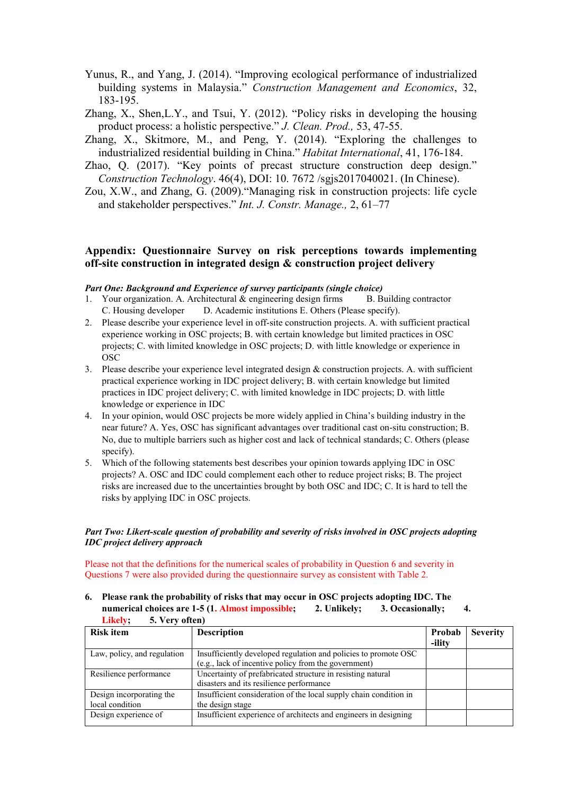- Yunus, R., and Yang, J. (2014). "Improving ecological performance of industrialized building systems in Malaysia." *Construction Management and Economics*, 32, 183-195.
- Zhang, X., Shen,L.Y., and Tsui, Y. (2012). "Policy risks in developing the housing product process: a holistic perspective." *J. Clean. Prod.,* 53, 47-55.
- Zhang, X., Skitmore, M., and Peng, Y. (2014). "Exploring the challenges to industrialized residential building in China." *Habitat International*, 41, 176-184.
- Zhao, Q. (2017). "Key points of precast structure construction deep design." *Construction Technology*. 46(4), DOI: 10. 7672 /sgjs2017040021. (In Chinese).
- Zou, X.W., and Zhang, G. (2009)."Managing risk in construction projects: life cycle and stakeholder perspectives." *Int. J. Constr. Manage.,* 2, 61–77

### **Appendix: Questionnaire Survey on risk perceptions towards implementing off-site construction in integrated design & construction project delivery**

#### *Part One: Background and Experience of survey participants (single choice)*

- 1. Your organization. A. Architectural  $\&$  engineering design firms B. Building contractor C. Housing developer D. Academic institutions E. Others (Please specify).
- 2. Please describe your experience level in off-site construction projects. A. with sufficient practical experience working in OSC projects; B. with certain knowledge but limited practices in OSC projects; C. with limited knowledge in OSC projects; D. with little knowledge or experience in OSC
- 3. Please describe your experience level integrated design & construction projects. A. with sufficient practical experience working in IDC project delivery; B. with certain knowledge but limited practices in IDC project delivery; C. with limited knowledge in IDC projects; D. with little knowledge or experience in IDC
- 4. In your opinion, would OSC projects be more widely applied in China's building industry in the near future? A. Yes, OSC has significant advantages over traditional cast on-situ construction; B. No, due to multiple barriers such as higher cost and lack of technical standards; C. Others (please specify).
- 5. Which of the following statements best describes your opinion towards applying IDC in OSC projects? A. OSC and IDC could complement each other to reduce project risks; B. The project risks are increased due to the uncertainties brought by both OSC and IDC; C. It is hard to tell the risks by applying IDC in OSC projects.

#### *Part Two: Likert-scale question of probability and severity of risks involved in OSC projects adopting IDC project delivery approach*

Please not that the definitions for the numerical scales of probability in Question 6 and severity in Questions 7 were also provided during the questionnaire survey as consistent with Table 2.

**6. Please rank the probability of risks that may occur in OSC projects adopting IDC. The numerical choices are 1-5 (1. Almost impossible; 2. Unlikely; 3. Occasionally; 4. Likely; 5. Very often)**

| <b>Risk item</b>            | <b>Description</b>                                                | Probab<br>-ility | <b>Severity</b> |
|-----------------------------|-------------------------------------------------------------------|------------------|-----------------|
|                             |                                                                   |                  |                 |
| Law, policy, and regulation | Insufficiently developed regulation and policies to promote OSC   |                  |                 |
|                             | (e.g., lack of incentive policy from the government)              |                  |                 |
| Resilience performance      | Uncertainty of prefabricated structure in resisting natural       |                  |                 |
|                             | disasters and its resilience performance                          |                  |                 |
| Design incorporating the    | Insufficient consideration of the local supply chain condition in |                  |                 |
| local condition             | the design stage                                                  |                  |                 |
| Design experience of        | Insufficient experience of architects and engineers in designing  |                  |                 |
|                             |                                                                   |                  |                 |